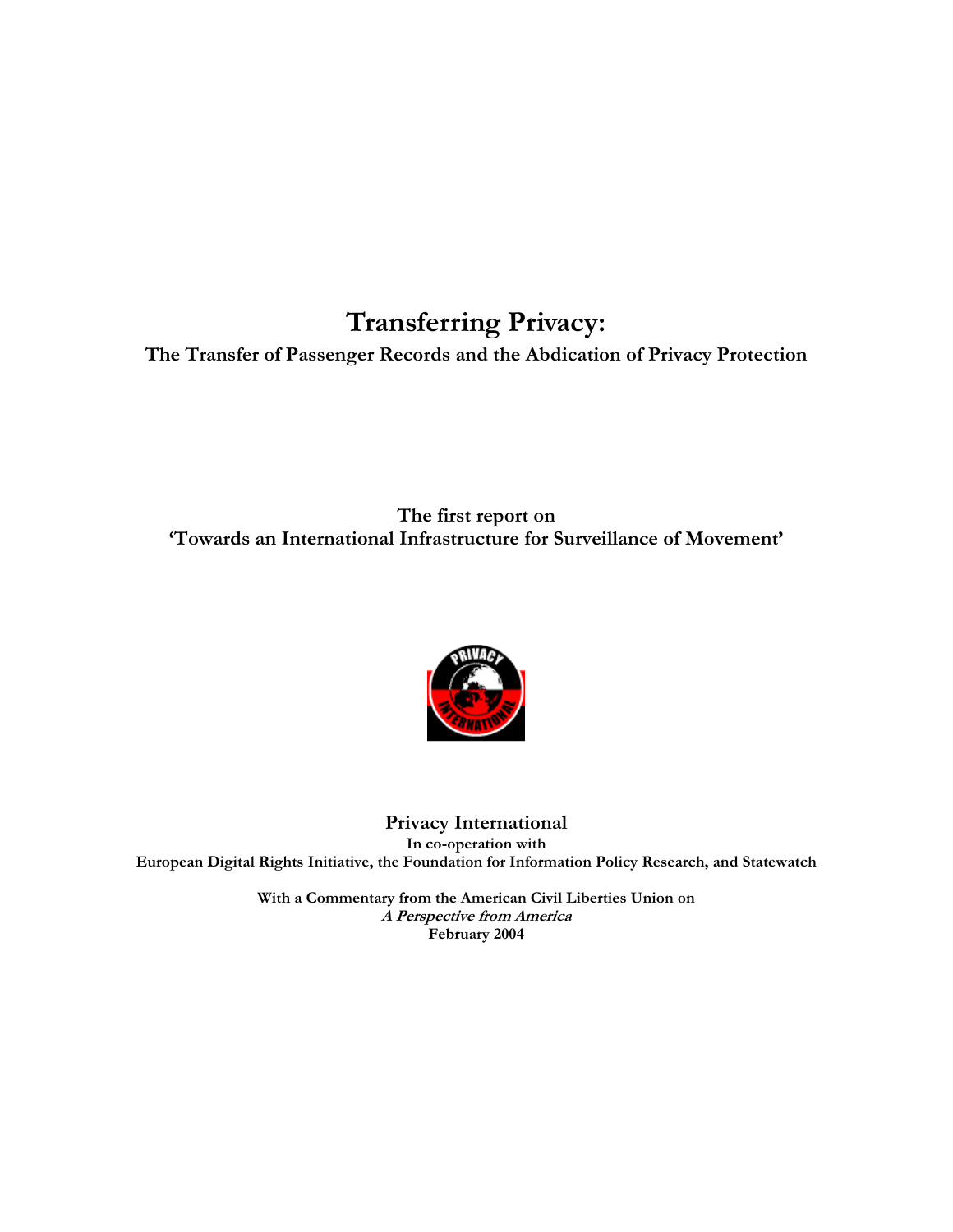## **Transferring Privacy:**

**The Transfer of Passenger Records and the Abdication of Privacy Protection** 

**The first report on 'Towards an International Infrastructure for Surveillance of Movement'** 



**Privacy International In co-operation with European Digital Rights Initiative, the Foundation for Information Policy Research, and Statewatch** 

> **With a Commentary from the American Civil Liberties Union on A Perspective from America February 2004**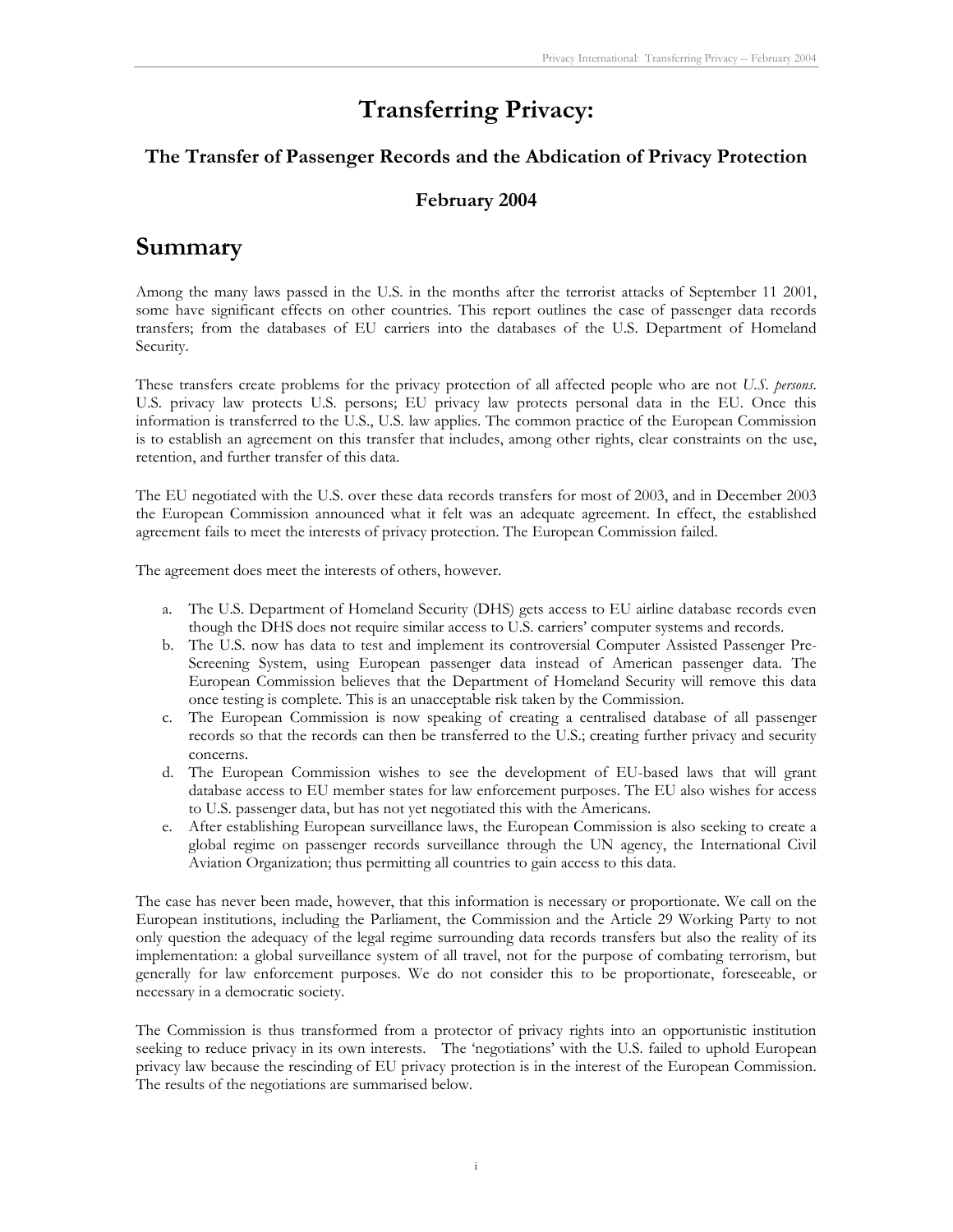## **Transferring Privacy:**

#### **The Transfer of Passenger Records and the Abdication of Privacy Protection**

#### **February 2004**

## **Summary**

Among the many laws passed in the U.S. in the months after the terrorist attacks of September 11 2001, some have significant effects on other countries. This report outlines the case of passenger data records transfers; from the databases of EU carriers into the databases of the U.S. Department of Homeland Security.

These transfers create problems for the privacy protection of all affected people who are not *U.S. persons*. U.S. privacy law protects U.S. persons; EU privacy law protects personal data in the EU. Once this information is transferred to the U.S., U.S. law applies. The common practice of the European Commission is to establish an agreement on this transfer that includes, among other rights, clear constraints on the use, retention, and further transfer of this data.

The EU negotiated with the U.S. over these data records transfers for most of 2003, and in December 2003 the European Commission announced what it felt was an adequate agreement. In effect, the established agreement fails to meet the interests of privacy protection. The European Commission failed.

The agreement does meet the interests of others, however.

- a. The U.S. Department of Homeland Security (DHS) gets access to EU airline database records even though the DHS does not require similar access to U.S. carriers' computer systems and records.
- b. The U.S. now has data to test and implement its controversial Computer Assisted Passenger Pre-Screening System, using European passenger data instead of American passenger data. The European Commission believes that the Department of Homeland Security will remove this data once testing is complete. This is an unacceptable risk taken by the Commission.
- c. The European Commission is now speaking of creating a centralised database of all passenger records so that the records can then be transferred to the U.S.; creating further privacy and security concerns.
- d. The European Commission wishes to see the development of EU-based laws that will grant database access to EU member states for law enforcement purposes. The EU also wishes for access to U.S. passenger data, but has not yet negotiated this with the Americans.
- e. After establishing European surveillance laws, the European Commission is also seeking to create a global regime on passenger records surveillance through the UN agency, the International Civil Aviation Organization; thus permitting all countries to gain access to this data.

The case has never been made, however, that this information is necessary or proportionate. We call on the European institutions, including the Parliament, the Commission and the Article 29 Working Party to not only question the adequacy of the legal regime surrounding data records transfers but also the reality of its implementation: a global surveillance system of all travel, not for the purpose of combating terrorism, but generally for law enforcement purposes. We do not consider this to be proportionate, foreseeable, or necessary in a democratic society.

The Commission is thus transformed from a protector of privacy rights into an opportunistic institution seeking to reduce privacy in its own interests. The 'negotiations' with the U.S. failed to uphold European privacy law because the rescinding of EU privacy protection is in the interest of the European Commission. The results of the negotiations are summarised below.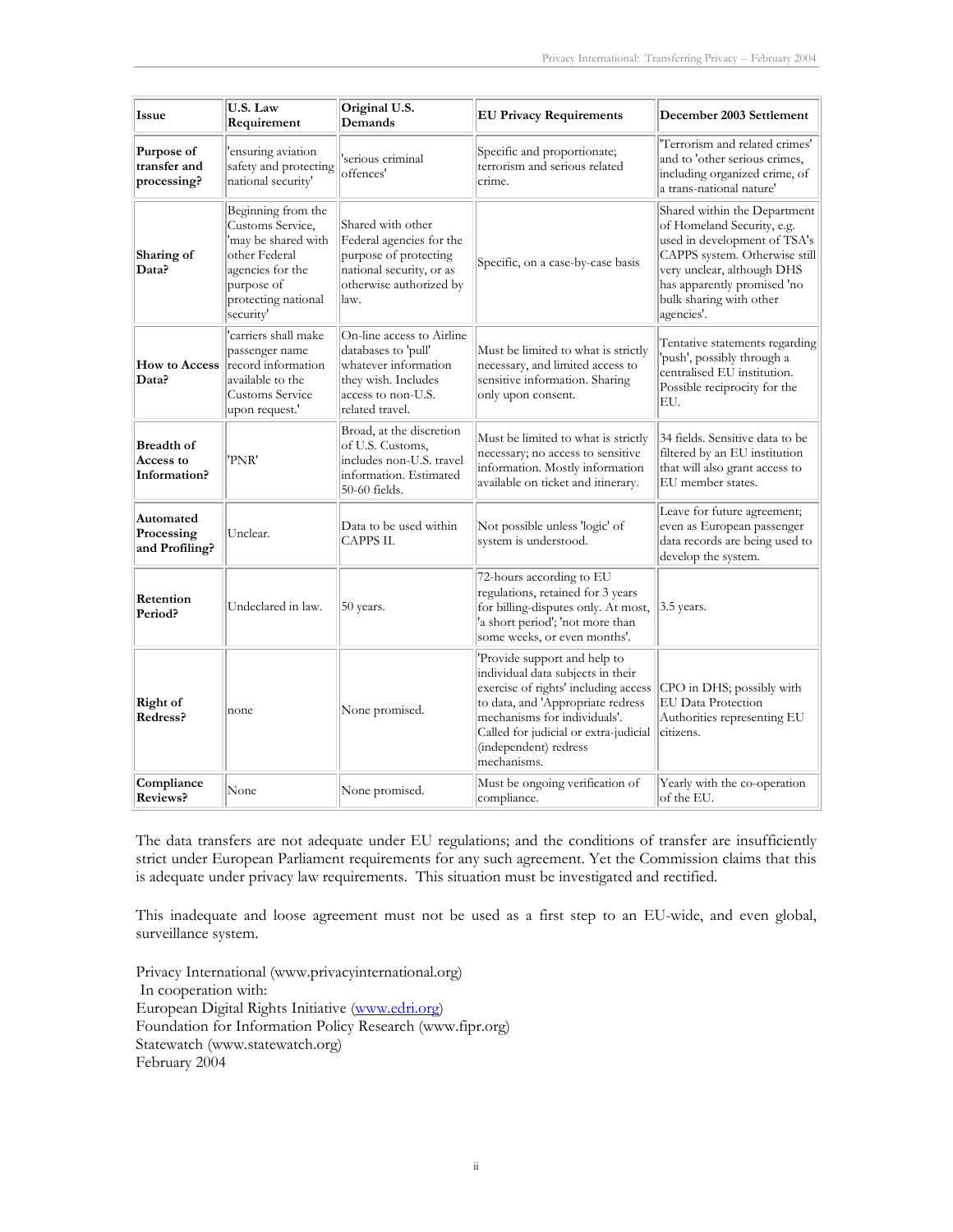| <b>Issue</b>                                   | U.S. Law<br>Requirement                                                                                                                              | Original U.S.<br>Demands                                                                                                                 | <b>EU Privacy Requirements</b>                                                                                                                                                                                                                                  | December 2003 Settlement                                                                                                                                                                                                          |
|------------------------------------------------|------------------------------------------------------------------------------------------------------------------------------------------------------|------------------------------------------------------------------------------------------------------------------------------------------|-----------------------------------------------------------------------------------------------------------------------------------------------------------------------------------------------------------------------------------------------------------------|-----------------------------------------------------------------------------------------------------------------------------------------------------------------------------------------------------------------------------------|
| Purpose of<br>transfer and<br>processing?      | ensuring aviation<br>safety and protecting<br>national security'                                                                                     | serious criminal<br>offences'                                                                                                            | Specific and proportionate;<br>terrorism and serious related<br>crime.                                                                                                                                                                                          | 'Terrorism and related crimes'<br>and to 'other serious crimes,<br>including organized crime, of<br>a trans-national nature'                                                                                                      |
| Sharing of<br>Data?                            | Beginning from the<br>Customs Service,<br>'may be shared with<br>other Federal<br>agencies for the<br>purpose of<br>protecting national<br>security' | Shared with other<br>Federal agencies for the<br>purpose of protecting<br>national security, or as<br>otherwise authorized by<br>law.    | Specific, on a case-by-case basis                                                                                                                                                                                                                               | Shared within the Department<br>of Homeland Security, e.g.<br>used in development of TSA's<br>CAPPS system. Otherwise still<br>very unclear, although DHS<br>has apparently promised 'no<br>bulk sharing with other<br>agencies'. |
| <b>How to Access</b><br>Data?                  | 'carriers shall make<br>passenger name<br>record information<br>available to the<br><b>Customs Service</b><br>upon request.'                         | On-line access to Airline<br>databases to 'pull'<br>whatever information<br>they wish. Includes<br>access to non-U.S.<br>related travel. | Must be limited to what is strictly<br>necessary, and limited access to<br>sensitive information. Sharing<br>only upon consent.                                                                                                                                 | Tentative statements regarding<br>'push', possibly through a<br>centralised EU institution.<br>Possible reciprocity for the<br>EU.                                                                                                |
| <b>Breadth of</b><br>Access to<br>Information? | 'PNR'                                                                                                                                                | Broad, at the discretion<br>of U.S. Customs,<br>includes non-U.S. travel<br>information. Estimated<br>50-60 fields.                      | Must be limited to what is strictly<br>necessary; no access to sensitive<br>information. Mostly information<br>available on ticket and itinerary.                                                                                                               | 34 fields. Sensitive data to be<br>filtered by an EU institution<br>that will also grant access to<br>EU member states.                                                                                                           |
| Automated<br>Processing<br>and Profiling?      | Unclear.                                                                                                                                             | Data to be used within<br>CAPPS II.                                                                                                      | Not possible unless 'logic' of<br>system is understood.                                                                                                                                                                                                         | Leave for future agreement;<br>even as European passenger<br>data records are being used to<br>develop the system.                                                                                                                |
| Retention<br>Period?                           | Undeclared in law.                                                                                                                                   | 50 years.                                                                                                                                | 72-hours according to EU<br>regulations, retained for 3 years<br>for billing-disputes only. At most,<br>'a short period'; 'not more than<br>some weeks, or even months'.                                                                                        | $3.5$ years.                                                                                                                                                                                                                      |
| Right of<br>Redress?                           | none                                                                                                                                                 | None promised.                                                                                                                           | 'Provide support and help to<br>individual data subjects in their<br>exercise of rights' including access<br>to data, and 'Appropriate redress<br>mechanisms for individuals'.<br>Called for judicial or extra-judicial<br>(independent) redress<br>mechanisms. | CPO in DHS; possibly with<br>EU Data Protection<br>Authorities representing EU<br>citizens.                                                                                                                                       |
| Compliance<br>Reviews?                         | None                                                                                                                                                 | None promised.                                                                                                                           | Must be ongoing verification of<br>compliance.                                                                                                                                                                                                                  | Yearly with the co-operation<br>of the EU.                                                                                                                                                                                        |

The data transfers are not adequate under EU regulations; and the conditions of transfer are insufficiently strict under European Parliament requirements for any such agreement. Yet the Commission claims that this is adequate under privacy law requirements. This situation must be investigated and rectified.

This inadequate and loose agreement must not be used as a first step to an EU-wide, and even global, surveillance system.

Privacy International (www.privacyinternational.org) In cooperation with: European Digital Rights Initiative (www.edri.org) Foundation for Information Policy Research (www.fipr.org) Statewatch (www.statewatch.org) February 2004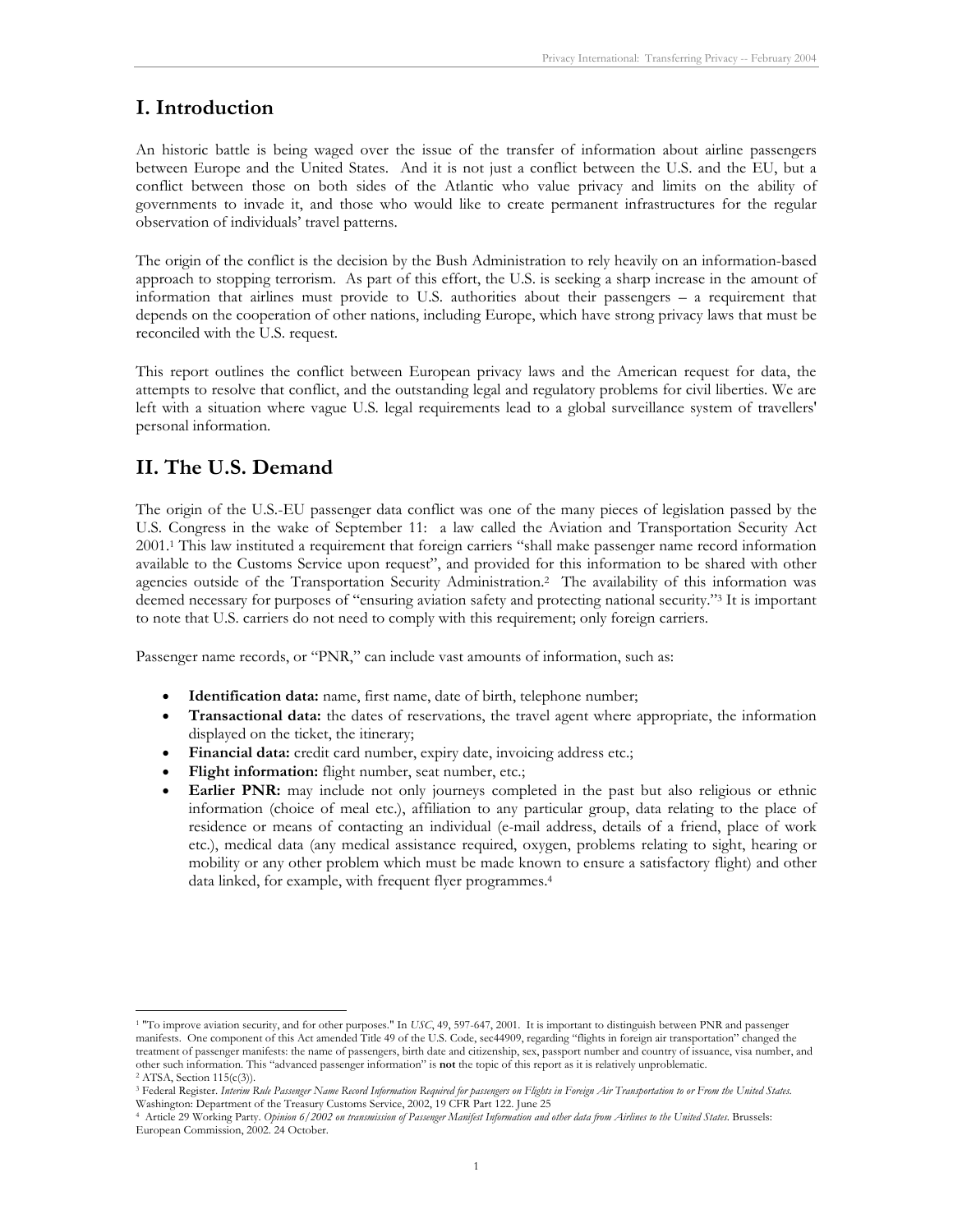## **I. Introduction**

An historic battle is being waged over the issue of the transfer of information about airline passengers between Europe and the United States. And it is not just a conflict between the U.S. and the EU, but a conflict between those on both sides of the Atlantic who value privacy and limits on the ability of governments to invade it, and those who would like to create permanent infrastructures for the regular observation of individuals' travel patterns.

The origin of the conflict is the decision by the Bush Administration to rely heavily on an information-based approach to stopping terrorism. As part of this effort, the U.S. is seeking a sharp increase in the amount of information that airlines must provide to U.S. authorities about their passengers – a requirement that depends on the cooperation of other nations, including Europe, which have strong privacy laws that must be reconciled with the U.S. request.

This report outlines the conflict between European privacy laws and the American request for data, the attempts to resolve that conflict, and the outstanding legal and regulatory problems for civil liberties. We are left with a situation where vague U.S. legal requirements lead to a global surveillance system of travellers' personal information.

## **II. The U.S. Demand**

-

The origin of the U.S.-EU passenger data conflict was one of the many pieces of legislation passed by the U.S. Congress in the wake of September 11: a law called the Aviation and Transportation Security Act 2001.1 This law instituted a requirement that foreign carriers "shall make passenger name record information available to the Customs Service upon request", and provided for this information to be shared with other agencies outside of the Transportation Security Administration.2 The availability of this information was deemed necessary for purposes of "ensuring aviation safety and protecting national security."3 It is important to note that U.S. carriers do not need to comply with this requirement; only foreign carriers.

Passenger name records, or "PNR," can include vast amounts of information, such as:

- **Identification data:** name, first name, date of birth, telephone number;
- **Transactional data:** the dates of reservations, the travel agent where appropriate, the information displayed on the ticket, the itinerary;
- **Financial data:** credit card number, expiry date, invoicing address etc.;
- Flight information: flight number, seat number, etc.;
- **Earlier PNR:** may include not only journeys completed in the past but also religious or ethnic information (choice of meal etc.), affiliation to any particular group, data relating to the place of residence or means of contacting an individual (e-mail address, details of a friend, place of work etc.), medical data (any medical assistance required, oxygen, problems relating to sight, hearing or mobility or any other problem which must be made known to ensure a satisfactory flight) and other data linked, for example, with frequent flyer programmes.<sup>4</sup>

<sup>&</sup>lt;sup>1</sup> "To improve aviation security, and for other purposes." In *USC*, 49, 597-647, 2001. It is important to distinguish between PNR and passenger manifests. One component of this Act amended Title 49 of the U.S. Code, sec44909, regarding "flights in foreign air transportation" changed the treatment of passenger manifests: the name of passengers, birth date and citizenship, sex, passport number and country of issuance, visa number, and other such information. This "advanced passenger information" is **not** the topic of this report as it is relatively unproblematic. 2 ATSA, Section 115(c(3)).

<sup>3</sup> Federal Register. *Interim Rule Passenger Name Record Information Required for passengers on Flights in Foreign Air Transportation to or From the United States*. Washington: Department of the Treasury Customs Service, 2002, 19 CFR Part 122. June 25

<sup>4</sup> Article 29 Working Party. *Opinion 6/2002 on transmission of Passenger Manifest Information and other data from Airlines to the United States*. Brussels: European Commission, 2002. 24 October.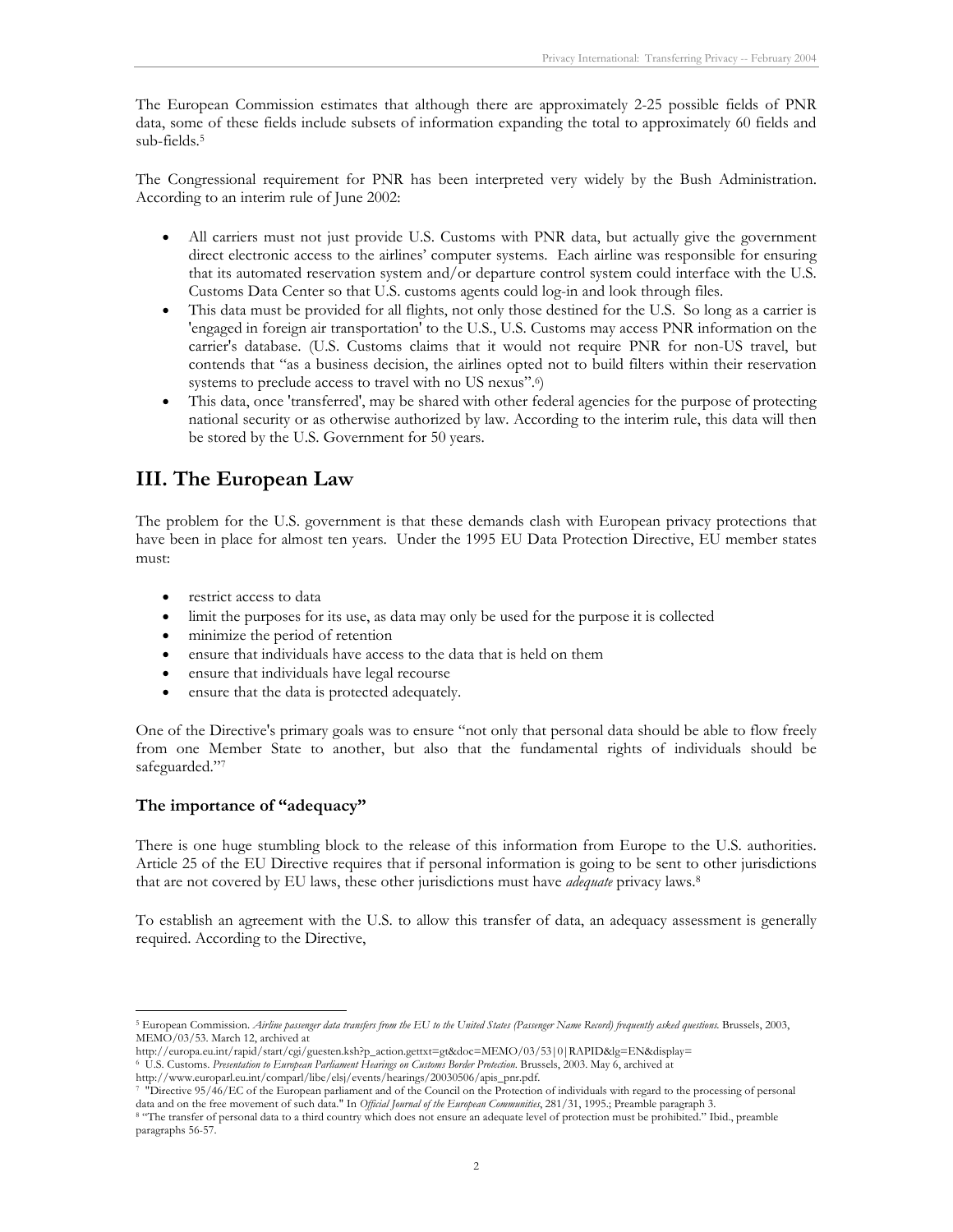The European Commission estimates that although there are approximately 2-25 possible fields of PNR data, some of these fields include subsets of information expanding the total to approximately 60 fields and sub-fields.5

The Congressional requirement for PNR has been interpreted very widely by the Bush Administration. According to an interim rule of June 2002:

- All carriers must not just provide U.S. Customs with PNR data, but actually give the government direct electronic access to the airlines' computer systems. Each airline was responsible for ensuring that its automated reservation system and/or departure control system could interface with the U.S. Customs Data Center so that U.S. customs agents could log-in and look through files.
- This data must be provided for all flights, not only those destined for the U.S. So long as a carrier is 'engaged in foreign air transportation' to the U.S., U.S. Customs may access PNR information on the carrier's database. (U.S. Customs claims that it would not require PNR for non-US travel, but contends that "as a business decision, the airlines opted not to build filters within their reservation systems to preclude access to travel with no US nexus".6)
- This data, once 'transferred', may be shared with other federal agencies for the purpose of protecting national security or as otherwise authorized by law. According to the interim rule, this data will then be stored by the U.S. Government for 50 years.

## **III. The European Law**

The problem for the U.S. government is that these demands clash with European privacy protections that have been in place for almost ten years. Under the 1995 EU Data Protection Directive, EU member states must:

- restrict access to data
- limit the purposes for its use, as data may only be used for the purpose it is collected
- minimize the period of retention
- ensure that individuals have access to the data that is held on them
- ensure that individuals have legal recourse
- ensure that the data is protected adequately.

One of the Directive's primary goals was to ensure "not only that personal data should be able to flow freely from one Member State to another, but also that the fundamental rights of individuals should be safeguarded."7

#### **The importance of "adequacy"**

-

There is one huge stumbling block to the release of this information from Europe to the U.S. authorities. Article 25 of the EU Directive requires that if personal information is going to be sent to other jurisdictions that are not covered by EU laws, these other jurisdictions must have *adequate* privacy laws.8

To establish an agreement with the U.S. to allow this transfer of data, an adequacy assessment is generally required. According to the Directive,

<sup>5</sup> European Commission. *Airline passenger data transfers from the EU to the United States (Passenger Name Record) frequently asked questions*. Brussels, 2003, MEMO/03/53. March 12, archived at

http://europa.eu.int/rapid/start/cgi/guesten.ksh?p\_action.gettxt=gt&doc=MEMO/03/53|0|RAPID&lg=EN&display=

<sup>6</sup> U.S. Customs. *Presentation to European Parliament Hearings on Customs Border Protection*. Brussels, 2003. May 6, archived at

http://www.europarl.eu.int/comparl/libe/elsj/events/hearings/20030506/apis\_pnr.pdf.<br>7 "Directive 95/46/EC of the European parliament and of the Council on the Protection of individuals with regard to the processing of pers

<sup>&</sup>lt;sup>8</sup> "The transfer of personal data to a third country which does not ensure an adequate level of protection must be prohibited." Ibid., preamble paragraphs 56-57.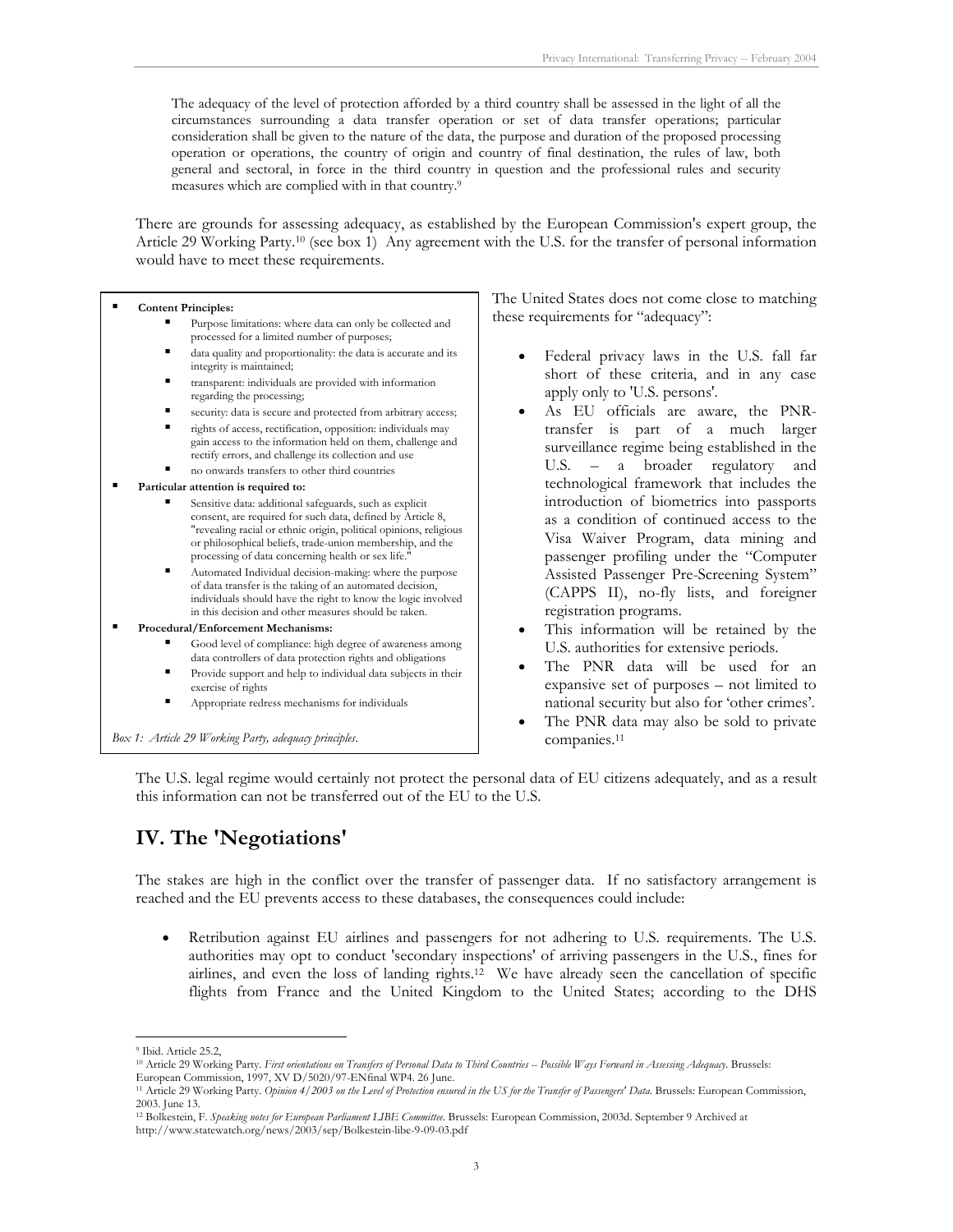The adequacy of the level of protection afforded by a third country shall be assessed in the light of all the circumstances surrounding a data transfer operation or set of data transfer operations; particular consideration shall be given to the nature of the data, the purpose and duration of the proposed processing operation or operations, the country of origin and country of final destination, the rules of law, both general and sectoral, in force in the third country in question and the professional rules and security measures which are complied with in that country.9

There are grounds for assessing adequacy, as established by the European Commission's expert group, the Article 29 Working Party.10 (see box 1) Any agreement with the U.S. for the transfer of personal information would have to meet these requirements.

#### **Content Principles:**

- Purpose limitations: where data can only be collected and processed for a limited number of purposes;
- data quality and proportionality: the data is accurate and its integrity is maintained;
- transparent: individuals are provided with information regarding the processing;
- security: data is secure and protected from arbitrary access;
- rights of access, rectification, opposition: individuals may gain access to the information held on them, challenge and rectify errors, and challenge its collection and use
- no onwards transfers to other third countries
- **Particular attention is required to:** 
	- Sensitive data: additional safeguards, such as explicit consent, are required for such data, defined by Article 8, "revealing racial or ethnic origin, political opinions, religious or philosophical beliefs, trade-union membership, and the processing of data concerning health or sex life."
	- Automated Individual decision-making: where the purpose of data transfer is the taking of an automated decision, individuals should have the right to know the logic involved in this decision and other measures should be taken.
- **Procedural/Enforcement Mechanisms:** 
	- Good level of compliance: high degree of awareness among data controllers of data protection rights and obligations
	- **Provide support and help to individual data subjects in their** exercise of rights
	- Appropriate redress mechanisms for individuals

*Box 1: Article 29 Working Party, adequacy principles*.

The United States does not come close to matching these requirements for "adequacy":

- Federal privacy laws in the U.S. fall far short of these criteria, and in any case apply only to 'U.S. persons'.
- As EU officials are aware, the PNRtransfer is part of a much larger surveillance regime being established in the U.S. – a broader regulatory and technological framework that includes the introduction of biometrics into passports as a condition of continued access to the Visa Waiver Program, data mining and passenger profiling under the "Computer Assisted Passenger Pre-Screening System" (CAPPS II), no-fly lists, and foreigner registration programs.
- This information will be retained by the U.S. authorities for extensive periods.
- The PNR data will be used for an expansive set of purposes – not limited to national security but also for 'other crimes'.
- The PNR data may also be sold to private companies.11

The U.S. legal regime would certainly not protect the personal data of EU citizens adequately, and as a result this information can not be transferred out of the EU to the U.S.

## **IV. The 'Negotiations'**

The stakes are high in the conflict over the transfer of passenger data. If no satisfactory arrangement is reached and the EU prevents access to these databases, the consequences could include:

• Retribution against EU airlines and passengers for not adhering to U.S. requirements. The U.S. authorities may opt to conduct 'secondary inspections' of arriving passengers in the U.S., fines for airlines, and even the loss of landing rights.12 We have already seen the cancellation of specific flights from France and the United Kingdom to the United States; according to the DHS

<sup>&</sup>lt;sup>9</sup> Ibid. Article 25.2,

<sup>10</sup> Article 29 Working Party. *First orientations on Transfers of Personal Data to Third Countries -- Possible Ways Forward in Assessing Adequacy*. Brussels: European Commission, 1997, XV D/5020/97-ENfinal WP4. 26 June.

<sup>11</sup> Article 29 Working Party. *Opinion 4/2003 on the Level of Protection ensured in the US for the Transfer of Passengers' Data*. Brussels: European Commission, 2003. June 13.

<sup>12</sup> Bolkestein, F. *Speaking notes for European Parliament LIBE Committee*. Brussels: European Commission, 2003d. September 9 Archived at http://www.statewatch.org/news/2003/sep/Bolkestein-libe-9-09-03.pdf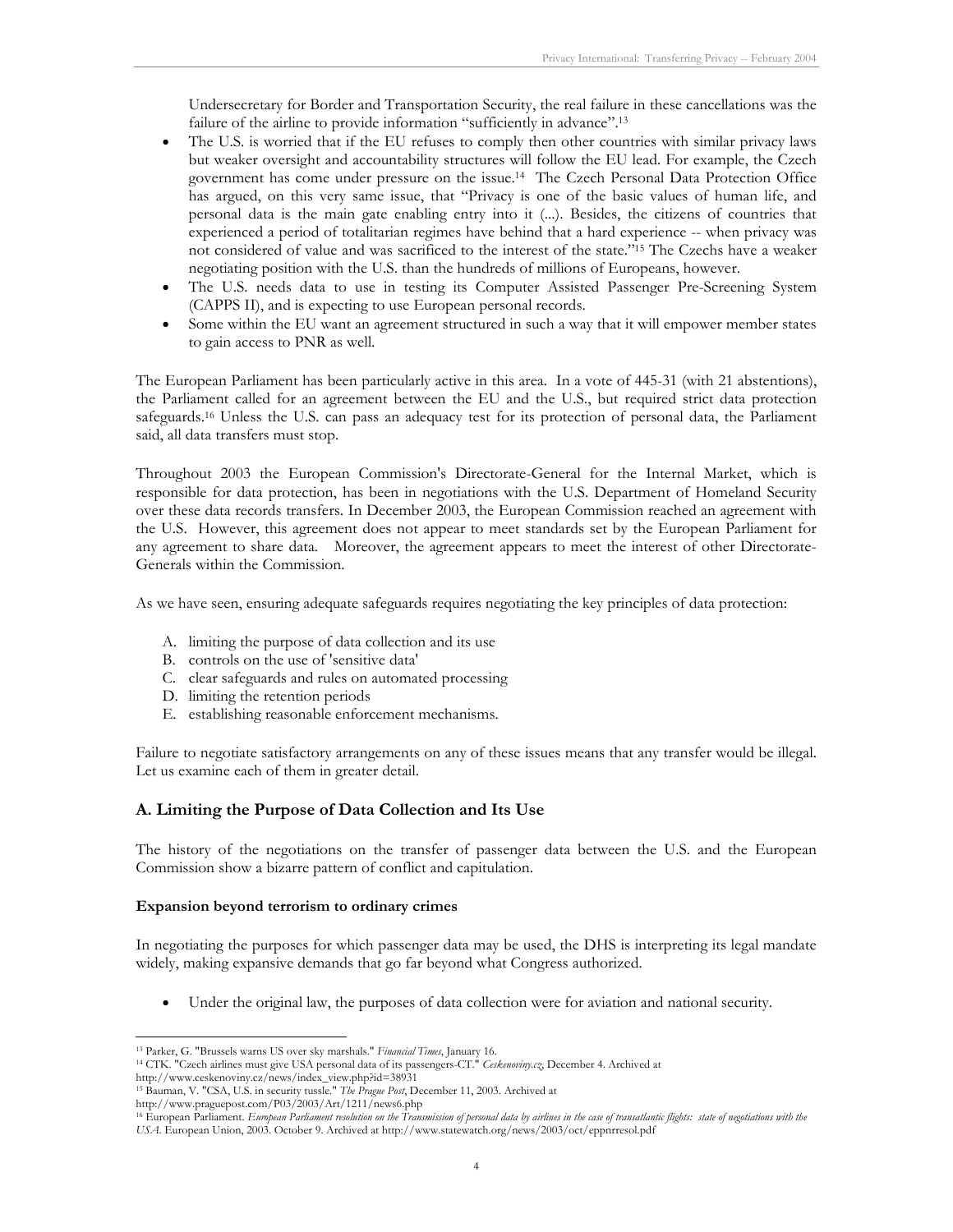Undersecretary for Border and Transportation Security, the real failure in these cancellations was the failure of the airline to provide information "sufficiently in advance".13

- The U.S. is worried that if the EU refuses to comply then other countries with similar privacy laws but weaker oversight and accountability structures will follow the EU lead. For example, the Czech government has come under pressure on the issue.14 The Czech Personal Data Protection Office has argued, on this very same issue, that "Privacy is one of the basic values of human life, and personal data is the main gate enabling entry into it (...). Besides, the citizens of countries that experienced a period of totalitarian regimes have behind that a hard experience -- when privacy was not considered of value and was sacrificed to the interest of the state."15 The Czechs have a weaker negotiating position with the U.S. than the hundreds of millions of Europeans, however.
- The U.S. needs data to use in testing its Computer Assisted Passenger Pre-Screening System (CAPPS II), and is expecting to use European personal records.
- Some within the EU want an agreement structured in such a way that it will empower member states to gain access to PNR as well.

The European Parliament has been particularly active in this area. In a vote of 445-31 (with 21 abstentions), the Parliament called for an agreement between the EU and the U.S., but required strict data protection safeguards.<sup>16</sup> Unless the U.S. can pass an adequacy test for its protection of personal data, the Parliament said, all data transfers must stop.

Throughout 2003 the European Commission's Directorate-General for the Internal Market, which is responsible for data protection, has been in negotiations with the U.S. Department of Homeland Security over these data records transfers. In December 2003, the European Commission reached an agreement with the U.S. However, this agreement does not appear to meet standards set by the European Parliament for any agreement to share data. Moreover, the agreement appears to meet the interest of other Directorate-Generals within the Commission.

As we have seen, ensuring adequate safeguards requires negotiating the key principles of data protection:

- A. limiting the purpose of data collection and its use
- B. controls on the use of 'sensitive data'
- C. clear safeguards and rules on automated processing
- D. limiting the retention periods
- E. establishing reasonable enforcement mechanisms.

Failure to negotiate satisfactory arrangements on any of these issues means that any transfer would be illegal. Let us examine each of them in greater detail.

#### **A. Limiting the Purpose of Data Collection and Its Use**

The history of the negotiations on the transfer of passenger data between the U.S. and the European Commission show a bizarre pattern of conflict and capitulation.

#### **Expansion beyond terrorism to ordinary crimes**

In negotiating the purposes for which passenger data may be used, the DHS is interpreting its legal mandate widely, making expansive demands that go far beyond what Congress authorized.

• Under the original law, the purposes of data collection were for aviation and national security.

http://www.ceskenoviny.cz/news/index\_view.php?id=38931

http://www.praguepost.com/P03/2003/Art/1211/news6.php

<sup>-</sup>

<sup>13</sup> Parker, G. "Brussels warns US over sky marshals." *Financial Times*, January 16. 14 CTK. "Czech airlines must give USA personal data of its passengers-CT." *Ceskenoviny.cz*, December 4. Archived at

<sup>15</sup> Bauman, V. "CSA, U.S. in security tussle." *The Prague Post*, December 11, 2003. Archived at

<sup>&</sup>lt;sup>16</sup> European Parliament. *European Parliament resolution on the Transmission of personal data by airlines in the case of transatlantic flights: state of negotiations with the USA*. European Union, 2003. October 9. Archived at http://www.statewatch.org/news/2003/oct/eppnrresol.pdf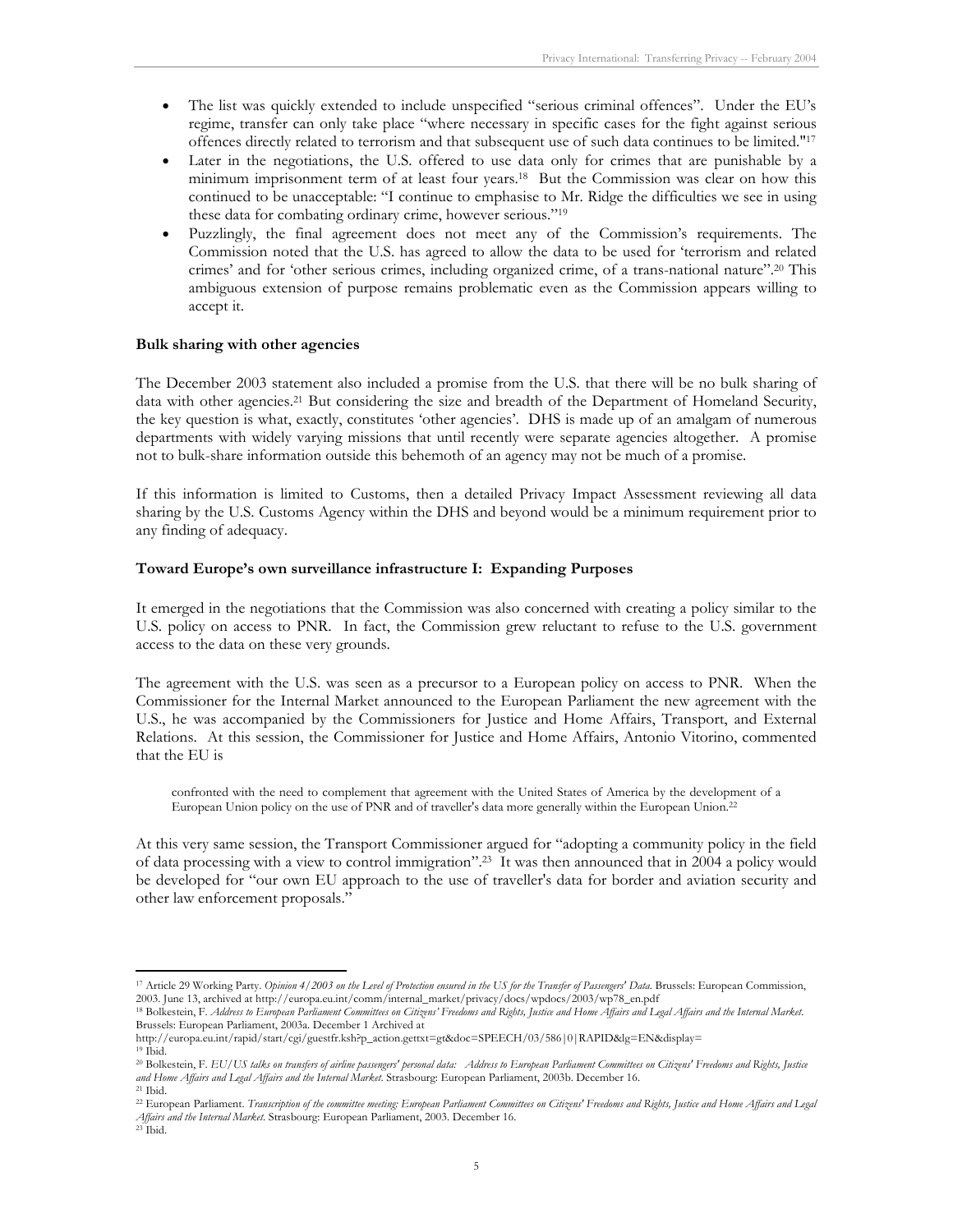- The list was quickly extended to include unspecified "serious criminal offences". Under the EU's regime, transfer can only take place "where necessary in specific cases for the fight against serious offences directly related to terrorism and that subsequent use of such data continues to be limited."17
- Later in the negotiations, the U.S. offered to use data only for crimes that are punishable by a minimum imprisonment term of at least four years.18 But the Commission was clear on how this continued to be unacceptable: "I continue to emphasise to Mr. Ridge the difficulties we see in using these data for combating ordinary crime, however serious."19
- Puzzlingly, the final agreement does not meet any of the Commission's requirements. The Commission noted that the U.S. has agreed to allow the data to be used for 'terrorism and related crimes' and for 'other serious crimes, including organized crime, of a trans-national nature".20 This ambiguous extension of purpose remains problematic even as the Commission appears willing to accept it.

#### **Bulk sharing with other agencies**

The December 2003 statement also included a promise from the U.S. that there will be no bulk sharing of data with other agencies.<sup>21</sup> But considering the size and breadth of the Department of Homeland Security, the key question is what, exactly, constitutes 'other agencies'. DHS is made up of an amalgam of numerous departments with widely varying missions that until recently were separate agencies altogether. A promise not to bulk-share information outside this behemoth of an agency may not be much of a promise.

If this information is limited to Customs, then a detailed Privacy Impact Assessment reviewing all data sharing by the U.S. Customs Agency within the DHS and beyond would be a minimum requirement prior to any finding of adequacy.

#### **Toward Europe's own surveillance infrastructure I: Expanding Purposes**

It emerged in the negotiations that the Commission was also concerned with creating a policy similar to the U.S. policy on access to PNR. In fact, the Commission grew reluctant to refuse to the U.S. government access to the data on these very grounds.

The agreement with the U.S. was seen as a precursor to a European policy on access to PNR. When the Commissioner for the Internal Market announced to the European Parliament the new agreement with the U.S., he was accompanied by the Commissioners for Justice and Home Affairs, Transport, and External Relations. At this session, the Commissioner for Justice and Home Affairs, Antonio Vitorino, commented that the EU is

confronted with the need to complement that agreement with the United States of America by the development of a European Union policy on the use of PNR and of traveller's data more generally within the European Union.22

At this very same session, the Transport Commissioner argued for "adopting a community policy in the field of data processing with a view to control immigration".23 It was then announced that in 2004 a policy would be developed for "our own EU approach to the use of traveller's data for border and aviation security and other law enforcement proposals."

http://europa.eu.int/rapid/start/cgi/guestfr.ksh?p\_action.gettxt=gt&doc=SPEECH/03/586|0|RAPID&lg=EN&display= 19 Ibid.

<sup>&</sup>lt;sup>17</sup> Article 29 Working Party. *Opinion 4/2003 on the Level of Protection ensured in the US for the Transfer of Passengers' Data*. Brussels: European Commission, 2003. June 13, archived at http://europa.eu.int/comm/interna

<sup>18</sup> Bolkestein, F. Address to European Parliament Committees on Citizens' Freedoms and Rights, Justice and Home Affairs and Legal Affairs and the Internal Market. Brussels: European Parliament, 2003a. December 1 Archived at

<sup>20</sup> Bolkestein, F. *EU/US talks on transfers of airline passengers' personal data: Address to European Parliament Committees on Citizens' Freedoms and Rights, Justice and Home Affairs and Legal Affairs and the Internal Market*. Strasbourg: European Parliament, 2003b. December 16. 21 Ibid.

<sup>&</sup>lt;sup>22</sup> European Parliament. *Transcription of the committee meeting: European Parliament Committees on Citizens' Freedoms and Rights, Justice and Home Affairs and Legal Affairs and the Internal Market*. Strasbourg: European Parliament, 2003. December 16. 23 Ibid.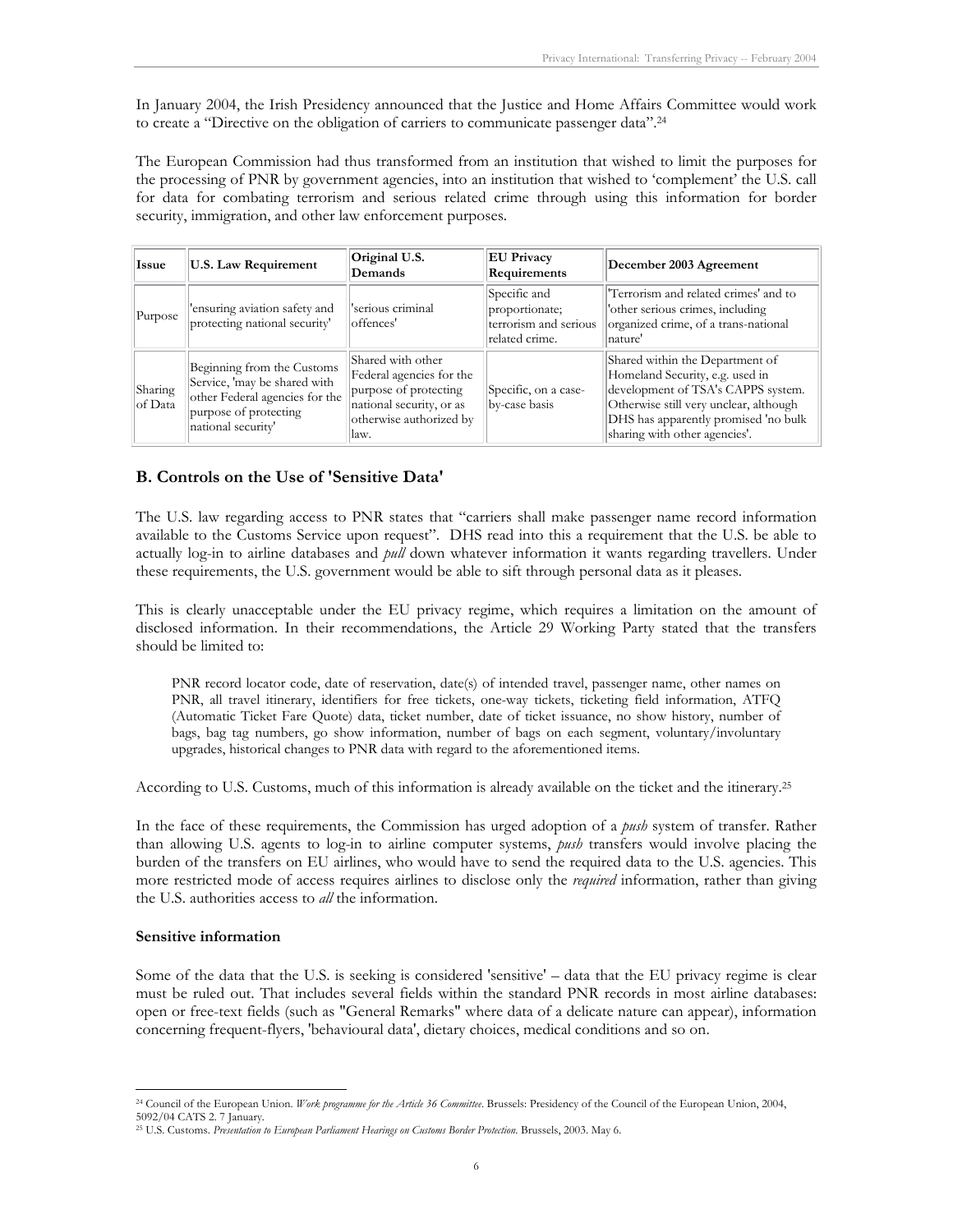In January 2004, the Irish Presidency announced that the Justice and Home Affairs Committee would work to create a "Directive on the obligation of carriers to communicate passenger data".24

The European Commission had thus transformed from an institution that wished to limit the purposes for the processing of PNR by government agencies, into an institution that wished to 'complement' the U.S. call for data for combating terrorism and serious related crime through using this information for border security, immigration, and other law enforcement purposes.

| Issue              | <b>U.S. Law Requirement</b>                                                                                                                 | Original U.S.<br>Demands                                                                                                              | <b>EU Privacy</b><br>Requirements                                         | December 2003 Agreement                                                                                                                                                                                                     |
|--------------------|---------------------------------------------------------------------------------------------------------------------------------------------|---------------------------------------------------------------------------------------------------------------------------------------|---------------------------------------------------------------------------|-----------------------------------------------------------------------------------------------------------------------------------------------------------------------------------------------------------------------------|
| Purpose            | 'ensuring aviation safety and<br>protecting national security'                                                                              | serious criminal<br>offences'                                                                                                         | Specific and<br>proportionate;<br>terrorism and serious<br>related crime. | 'Terrorism and related crimes' and to<br>'other serious crimes, including<br>organized crime, of a trans-national<br>nature'                                                                                                |
| Sharing<br>of Data | Beginning from the Customs<br>Service, 'may be shared with<br>other Federal agencies for the<br>purpose of protecting<br>national security' | Shared with other<br>Federal agencies for the<br>purpose of protecting<br>national security, or as<br>otherwise authorized by<br>law. | Specific, on a case-<br>by-case basis                                     | Shared within the Department of<br>Homeland Security, e.g. used in<br>development of TSA's CAPPS system.<br>Otherwise still very unclear, although<br>DHS has apparently promised 'no bulk<br>sharing with other agencies'. |

#### **B. Controls on the Use of 'Sensitive Data'**

The U.S. law regarding access to PNR states that "carriers shall make passenger name record information available to the Customs Service upon request". DHS read into this a requirement that the U.S. be able to actually log-in to airline databases and *pull* down whatever information it wants regarding travellers. Under these requirements, the U.S. government would be able to sift through personal data as it pleases.

This is clearly unacceptable under the EU privacy regime, which requires a limitation on the amount of disclosed information. In their recommendations, the Article 29 Working Party stated that the transfers should be limited to:

PNR record locator code, date of reservation, date(s) of intended travel, passenger name, other names on PNR, all travel itinerary, identifiers for free tickets, one-way tickets, ticketing field information, ATFQ (Automatic Ticket Fare Quote) data, ticket number, date of ticket issuance, no show history, number of bags, bag tag numbers, go show information, number of bags on each segment, voluntary/involuntary upgrades, historical changes to PNR data with regard to the aforementioned items.

According to U.S. Customs, much of this information is already available on the ticket and the itinerary.25

In the face of these requirements, the Commission has urged adoption of a *push* system of transfer. Rather than allowing U.S. agents to log-in to airline computer systems, *push* transfers would involve placing the burden of the transfers on EU airlines, who would have to send the required data to the U.S. agencies. This more restricted mode of access requires airlines to disclose only the *required* information, rather than giving the U.S. authorities access to *all* the information.

#### **Sensitive information**

Some of the data that the U.S. is seeking is considered 'sensitive' – data that the EU privacy regime is clear must be ruled out. That includes several fields within the standard PNR records in most airline databases: open or free-text fields (such as "General Remarks" where data of a delicate nature can appear), information concerning frequent-flyers, 'behavioural data', dietary choices, medical conditions and so on.

<sup>-</sup>24 Council of the European Union. *Work programme for the Article 36 Committee*. Brussels: Presidency of the Council of the European Union, 2004, 5092/04 CATS 2. 7 January.

<sup>25</sup> U.S. Customs. *Presentation to European Parliament Hearings on Customs Border Protection*. Brussels, 2003. May 6.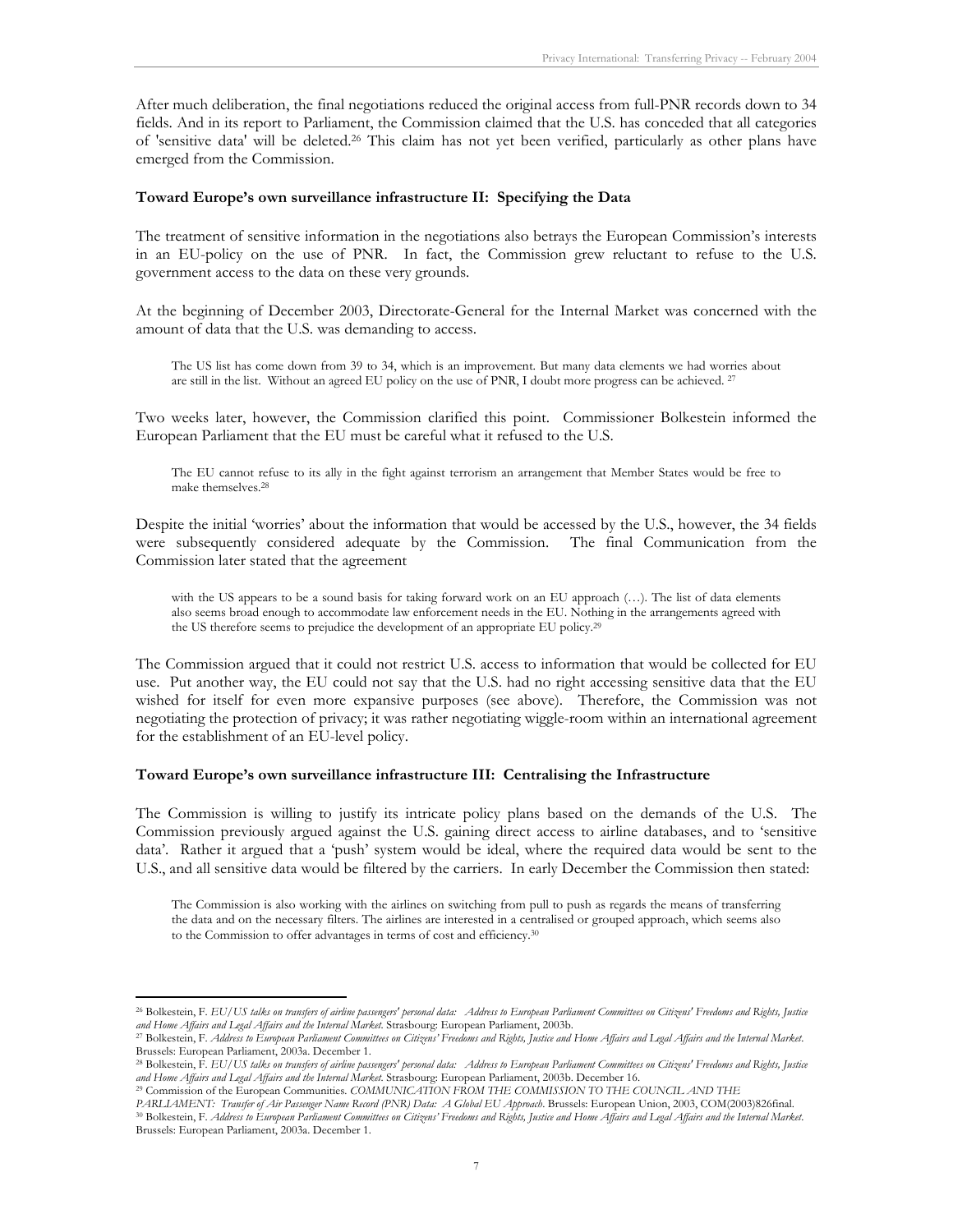After much deliberation, the final negotiations reduced the original access from full-PNR records down to 34 fields. And in its report to Parliament, the Commission claimed that the U.S. has conceded that all categories of 'sensitive data' will be deleted.26 This claim has not yet been verified, particularly as other plans have emerged from the Commission.

#### **Toward Europe's own surveillance infrastructure II: Specifying the Data**

The treatment of sensitive information in the negotiations also betrays the European Commission's interests in an EU-policy on the use of PNR. In fact, the Commission grew reluctant to refuse to the U.S. government access to the data on these very grounds.

At the beginning of December 2003, Directorate-General for the Internal Market was concerned with the amount of data that the U.S. was demanding to access.

The US list has come down from 39 to 34, which is an improvement. But many data elements we had worries about are still in the list. Without an agreed EU policy on the use of PNR, I doubt more progress can be achieved. 27

Two weeks later, however, the Commission clarified this point. Commissioner Bolkestein informed the European Parliament that the EU must be careful what it refused to the U.S.

The EU cannot refuse to its ally in the fight against terrorism an arrangement that Member States would be free to make themselves.28

Despite the initial 'worries' about the information that would be accessed by the U.S., however, the 34 fields were subsequently considered adequate by the Commission. The final Communication from the Commission later stated that the agreement

with the US appears to be a sound basis for taking forward work on an EU approach (...). The list of data elements also seems broad enough to accommodate law enforcement needs in the EU. Nothing in the arrangements agreed with the US therefore seems to prejudice the development of an appropriate EU policy.29

The Commission argued that it could not restrict U.S. access to information that would be collected for EU use. Put another way, the EU could not say that the U.S. had no right accessing sensitive data that the EU wished for itself for even more expansive purposes (see above). Therefore, the Commission was not negotiating the protection of privacy; it was rather negotiating wiggle-room within an international agreement for the establishment of an EU-level policy.

#### **Toward Europe's own surveillance infrastructure III: Centralising the Infrastructure**

The Commission is willing to justify its intricate policy plans based on the demands of the U.S. The Commission previously argued against the U.S. gaining direct access to airline databases, and to 'sensitive data'. Rather it argued that a 'push' system would be ideal, where the required data would be sent to the U.S., and all sensitive data would be filtered by the carriers. In early December the Commission then stated:

The Commission is also working with the airlines on switching from pull to push as regards the means of transferring the data and on the necessary filters. The airlines are interested in a centralised or grouped approach, which seems also to the Commission to offer advantages in terms of cost and efficiency.30

<sup>26</sup> Bolkestein, F. *EU/US talks on transfers of airline passengers' personal data: Address to European Parliament Committees on Citizens' Freedoms and Rights, Justice*  and Home Affairs and Legal Affairs and the Internal Market. Strasbourg: European Parliament, 2003b.<br><sup>27</sup> Bolkestein, F. Address to European Parliament Committees on Citizens' Freedoms and Rights, Justice and Home Affairs a

Brussels: European Parliament, 2003a. December 1.

<sup>&</sup>lt;sup>28</sup> Bolkestein, F. EU/US talks on transfers of airline passengers' personal data: Address to European Parliament Committees on Citizens' Freedoms and Rights, Justice<br>and Home Affairs and Legal Affairs and the Internal Mar

<sup>&</sup>lt;sup>29</sup> Commission of the European Communities. COMMUNICATION FROM THE COMMISSION TO THE COUNCIL AND THE<br>PARLIAMENT: Transfer of Air Passenger Name Record (PNR) Data: A Global EU Approach. Brussels: European Union, 2003, COM(

<sup>30</sup> Bolkestein, F. Address to European Parliament Committees on Citizens' Freedoms and Rights, Justice and Home Affairs and Legal Affairs and the Internal Market. Brussels: European Parliament, 2003a. December 1.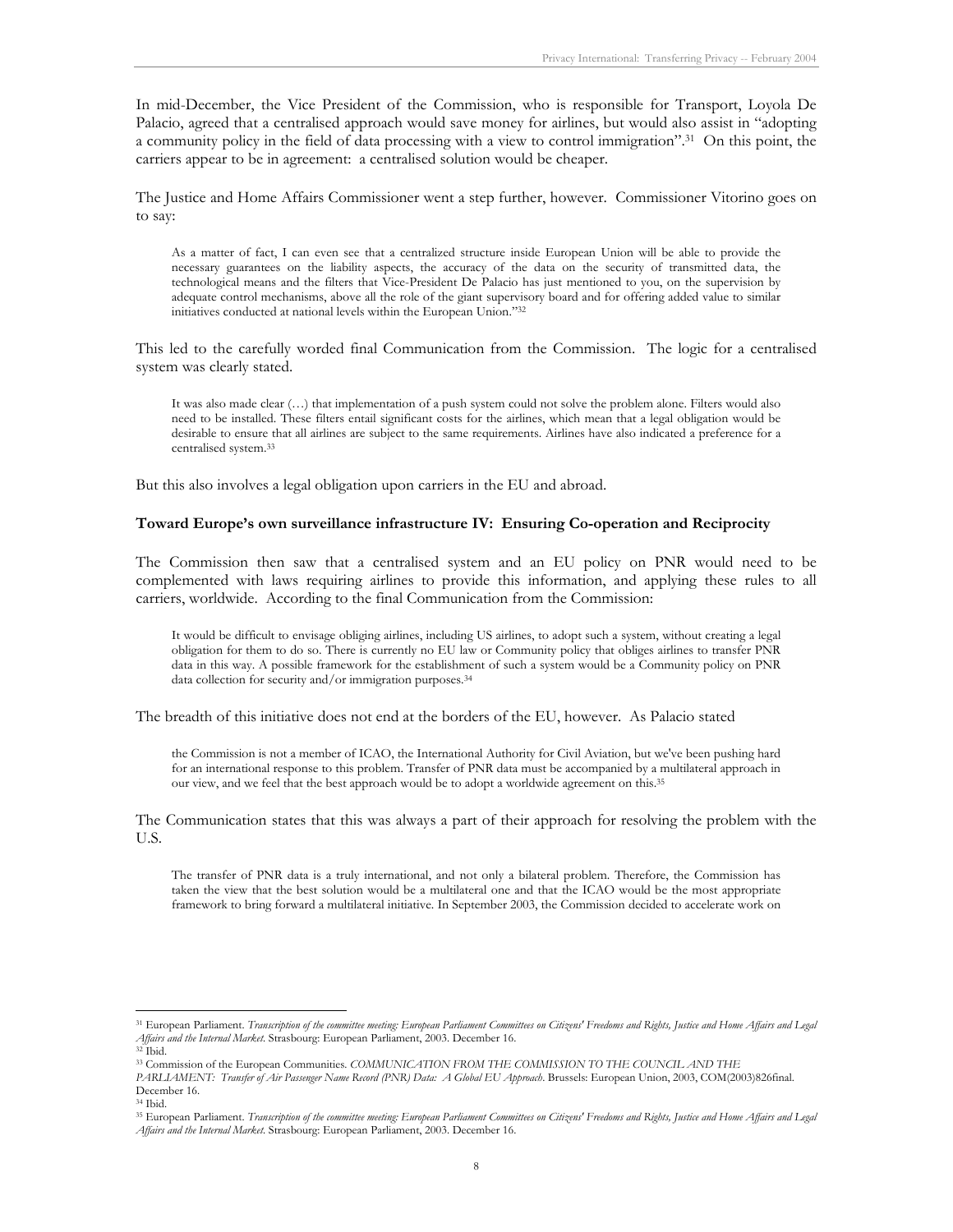In mid-December, the Vice President of the Commission, who is responsible for Transport, Loyola De Palacio, agreed that a centralised approach would save money for airlines, but would also assist in "adopting a community policy in the field of data processing with a view to control immigration".31 On this point, the carriers appear to be in agreement: a centralised solution would be cheaper.

The Justice and Home Affairs Commissioner went a step further, however. Commissioner Vitorino goes on to say:

As a matter of fact, I can even see that a centralized structure inside European Union will be able to provide the necessary guarantees on the liability aspects, the accuracy of the data on the security of transmitted data, the technological means and the filters that Vice-President De Palacio has just mentioned to you, on the supervision by adequate control mechanisms, above all the role of the giant supervisory board and for offering added value to similar initiatives conducted at national levels within the European Union."32

This led to the carefully worded final Communication from the Commission. The logic for a centralised system was clearly stated.

It was also made clear (…) that implementation of a push system could not solve the problem alone. Filters would also need to be installed. These filters entail significant costs for the airlines, which mean that a legal obligation would be desirable to ensure that all airlines are subject to the same requirements. Airlines have also indicated a preference for a centralised system.33

But this also involves a legal obligation upon carriers in the EU and abroad.

#### **Toward Europe's own surveillance infrastructure IV: Ensuring Co-operation and Reciprocity**

The Commission then saw that a centralised system and an EU policy on PNR would need to be complemented with laws requiring airlines to provide this information, and applying these rules to all carriers, worldwide. According to the final Communication from the Commission:

It would be difficult to envisage obliging airlines, including US airlines, to adopt such a system, without creating a legal obligation for them to do so. There is currently no EU law or Community policy that obliges airlines to transfer PNR data in this way. A possible framework for the establishment of such a system would be a Community policy on PNR data collection for security and/or immigration purposes.34

The breadth of this initiative does not end at the borders of the EU, however. As Palacio stated

the Commission is not a member of ICAO, the International Authority for Civil Aviation, but we've been pushing hard for an international response to this problem. Transfer of PNR data must be accompanied by a multilateral approach in our view, and we feel that the best approach would be to adopt a worldwide agreement on this.35

The Communication states that this was always a part of their approach for resolving the problem with the U.S.

The transfer of PNR data is a truly international, and not only a bilateral problem. Therefore, the Commission has taken the view that the best solution would be a multilateral one and that the ICAO would be the most appropriate framework to bring forward a multilateral initiative. In September 2003, the Commission decided to accelerate work on

<sup>&</sup>lt;sup>31</sup> European Parliament. Transcription of the committee meeting: European Parliament Committees on Citizens' Freedoms and Rights, Justice and Home Affairs and Legal *Affairs and the Internal Market*. Strasbourg: European Parliament, 2003. December 16. 32 Ibid.

<sup>33</sup> Commission of the European Communities. *COMMUNICATION FROM THE COMMISSION TO THE COUNCIL AND THE* 

*PARLIAMENT: Transfer of Air Passenger Name Record (PNR) Data: A Global EU Approach*. Brussels: European Union, 2003, COM(2003)826final. December 16.

<sup>34</sup> Ibid.

<sup>&</sup>lt;sup>35</sup> European Parliament. *Transcription of the committee meeting: European Parliament Committees on Citizens' Freedoms and Rights, Justice and Home Affairs and Legal Affairs and the Internal Market*. Strasbourg: European Parliament, 2003. December 16.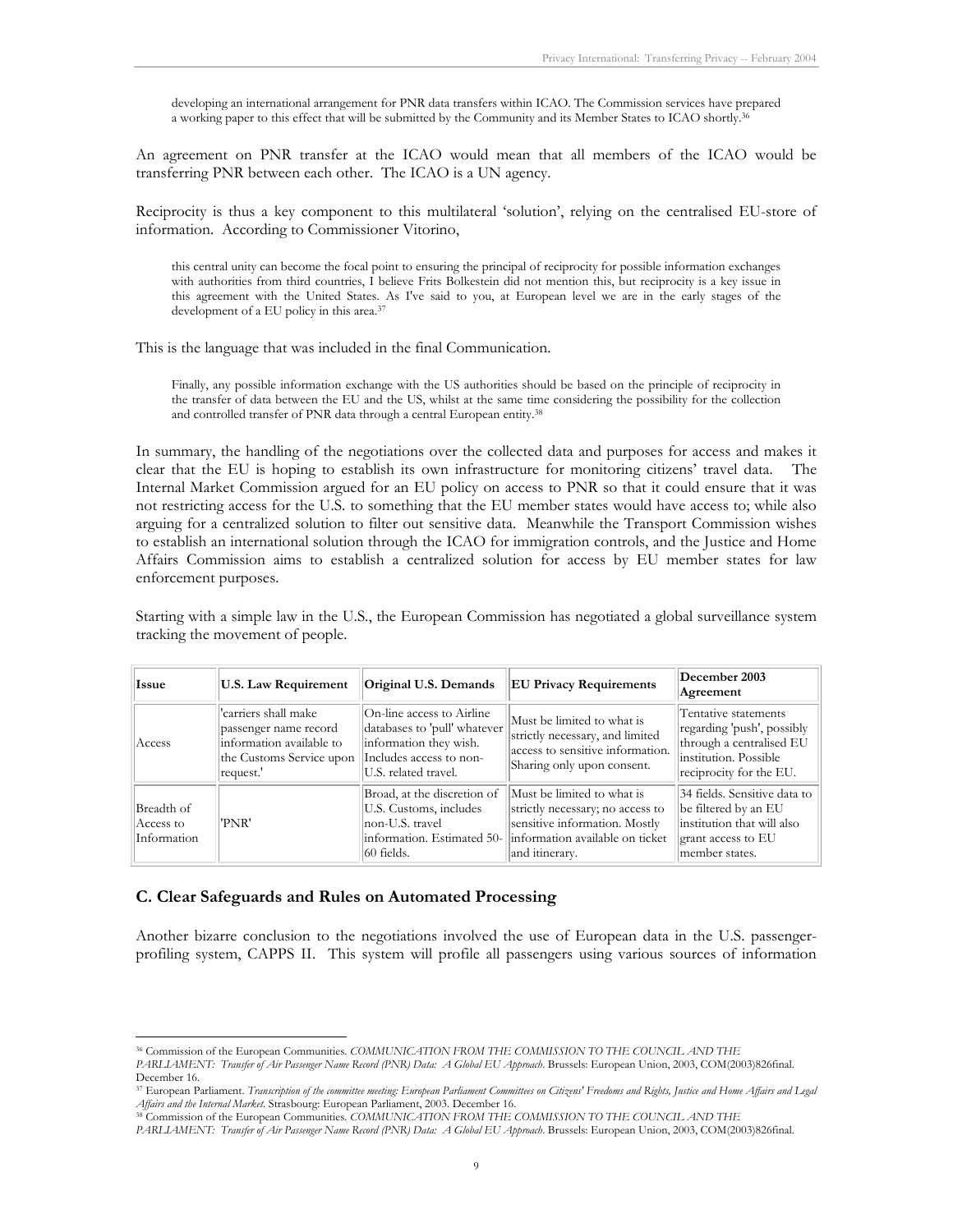developing an international arrangement for PNR data transfers within ICAO. The Commission services have prepared a working paper to this effect that will be submitted by the Community and its Member States to ICAO shortly.36

An agreement on PNR transfer at the ICAO would mean that all members of the ICAO would be transferring PNR between each other. The ICAO is a UN agency.

Reciprocity is thus a key component to this multilateral 'solution', relying on the centralised EU-store of information. According to Commissioner Vitorino,

this central unity can become the focal point to ensuring the principal of reciprocity for possible information exchanges with authorities from third countries, I believe Frits Bolkestein did not mention this, but reciprocity is a key issue in this agreement with the United States. As I've said to you, at European level we are in the early stages of the development of a EU policy in this area.37

This is the language that was included in the final Communication.

Finally, any possible information exchange with the US authorities should be based on the principle of reciprocity in the transfer of data between the EU and the US, whilst at the same time considering the possibility for the collection and controlled transfer of PNR data through a central European entity.38

In summary, the handling of the negotiations over the collected data and purposes for access and makes it clear that the EU is hoping to establish its own infrastructure for monitoring citizens' travel data. The Internal Market Commission argued for an EU policy on access to PNR so that it could ensure that it was not restricting access for the U.S. to something that the EU member states would have access to; while also arguing for a centralized solution to filter out sensitive data. Meanwhile the Transport Commission wishes to establish an international solution through the ICAO for immigration controls, and the Justice and Home Affairs Commission aims to establish a centralized solution for access by EU member states for law enforcement purposes.

Starting with a simple law in the U.S., the European Commission has negotiated a global surveillance system tracking the movement of people.

| Issue                                  | <b>U.S. Law Requirement</b>                                                                                        | Original U.S. Demands                                                                                                                  | <b>EU Privacy Requirements</b>                                                                                                                       | December 2003<br>Agreement                                                                                                         |
|----------------------------------------|--------------------------------------------------------------------------------------------------------------------|----------------------------------------------------------------------------------------------------------------------------------------|------------------------------------------------------------------------------------------------------------------------------------------------------|------------------------------------------------------------------------------------------------------------------------------------|
| Access                                 | 'carriers shall make<br>passenger name record<br>information available to<br>the Customs Service upon<br>request.' | On-line access to Airline<br>databases to 'pull' whatever<br>information they wish.<br>Includes access to non-<br>U.S. related travel. | Must be limited to what is<br>strictly necessary, and limited<br>access to sensitive information.<br>Sharing only upon consent.                      | Tentative statements<br>regarding 'push', possibly<br>through a centralised EU<br>institution. Possible<br>reciprocity for the EU. |
| Breadth of<br>Access to<br>Information | 'PNR'                                                                                                              | Broad, at the discretion of<br>U.S. Customs, includes<br>non-U.S. travel<br>information. Estimated 50-<br>160 fields.                  | Must be limited to what is<br>strictly necessary; no access to<br>sensitive information. Mostly<br>information available on ticket<br>and itinerary. | 34 fields. Sensitive data to<br>be filtered by an EU<br>institution that will also<br>grant access to EU<br>member states.         |

#### **C. Clear Safeguards and Rules on Automated Processing**

Another bizarre conclusion to the negotiations involved the use of European data in the U.S. passengerprofiling system, CAPPS II. This system will profile all passengers using various sources of information

<sup>-</sup>36 Commission of the European Communities. *COMMUNICATION FROM THE COMMISSION TO THE COUNCIL AND THE* 

*PARLIAMENT: Transfer of Air Passenger Name Record (PNR) Data: A Global EU Approach*. Brussels: European Union, 2003, COM(2003)826final. December 16.

<sup>&</sup>lt;sup>37</sup> European Parliament. *Transcription of the committee meeting: European Parliament Committees on Citizens' Freedoms and Rights, Justice and Home Affairs and Legal<br>Affairs and the Internal Market. Strasbourg: European P* 

<sup>&</sup>lt;sup>38</sup> Commission of the European Communities. *COMMUNICATION FROM THE COMMISSION TO THE COUNCIL AND THE* 

*PARLIAMENT: Transfer of Air Passenger Name Record (PNR) Data: A Global EU Approach*. Brussels: European Union, 2003, COM(2003)826final.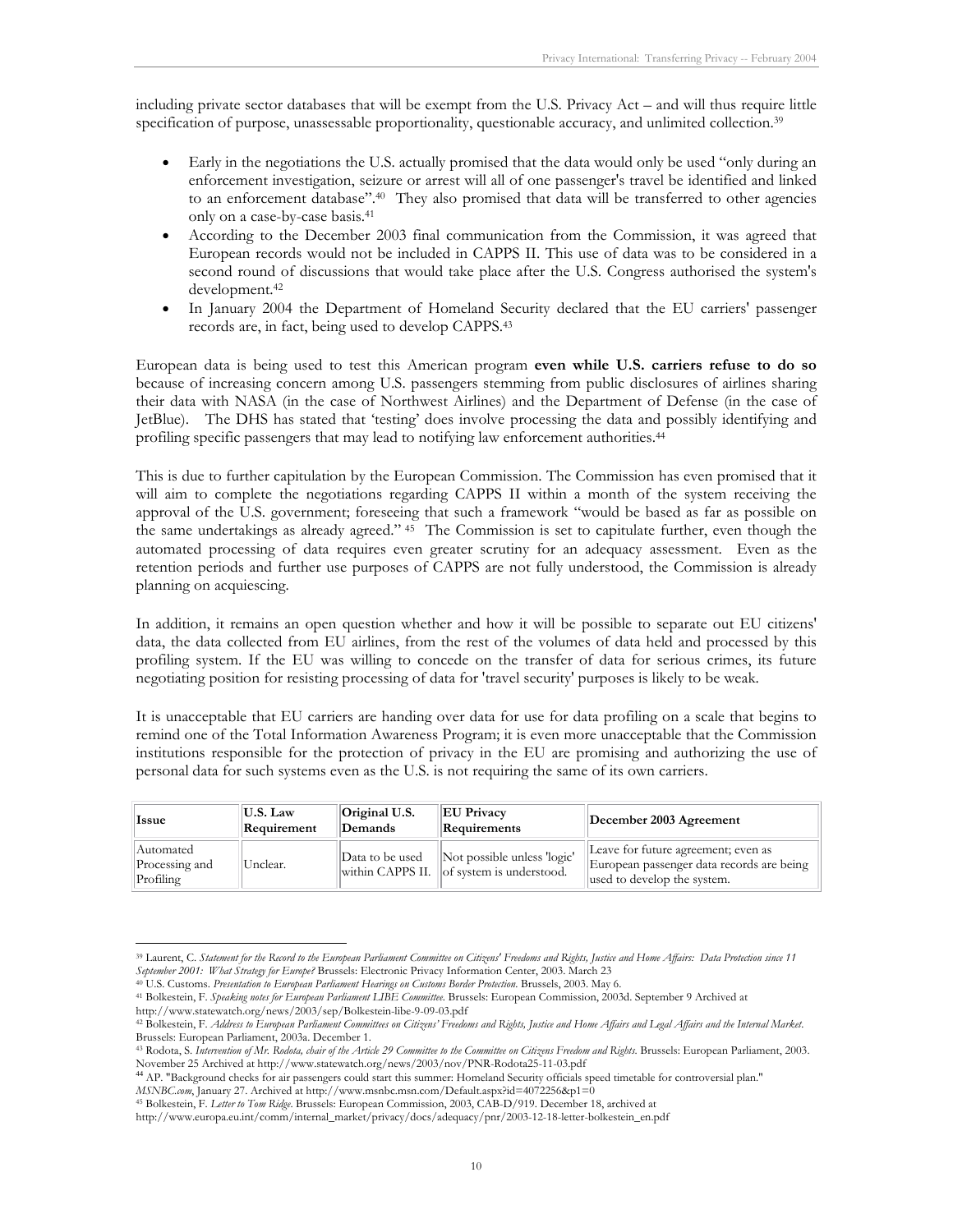including private sector databases that will be exempt from the U.S. Privacy Act – and will thus require little specification of purpose, unassessable proportionality, questionable accuracy, and unlimited collection.<sup>39</sup>

- Early in the negotiations the U.S. actually promised that the data would only be used "only during an enforcement investigation, seizure or arrest will all of one passenger's travel be identified and linked to an enforcement database".40 They also promised that data will be transferred to other agencies only on a case-by-case basis.41
- According to the December 2003 final communication from the Commission, it was agreed that European records would not be included in CAPPS II. This use of data was to be considered in a second round of discussions that would take place after the U.S. Congress authorised the system's development.42
- In January 2004 the Department of Homeland Security declared that the EU carriers' passenger records are, in fact, being used to develop CAPPS.43

European data is being used to test this American program **even while U.S. carriers refuse to do so** because of increasing concern among U.S. passengers stemming from public disclosures of airlines sharing their data with NASA (in the case of Northwest Airlines) and the Department of Defense (in the case of JetBlue). The DHS has stated that 'testing' does involve processing the data and possibly identifying and profiling specific passengers that may lead to notifying law enforcement authorities.<sup>44</sup>

This is due to further capitulation by the European Commission. The Commission has even promised that it will aim to complete the negotiations regarding CAPPS II within a month of the system receiving the approval of the U.S. government; foreseeing that such a framework "would be based as far as possible on the same undertakings as already agreed." 45 The Commission is set to capitulate further, even though the automated processing of data requires even greater scrutiny for an adequacy assessment. Even as the retention periods and further use purposes of CAPPS are not fully understood, the Commission is already planning on acquiescing.

In addition, it remains an open question whether and how it will be possible to separate out EU citizens' data, the data collected from EU airlines, from the rest of the volumes of data held and processed by this profiling system. If the EU was willing to concede on the transfer of data for serious crimes, its future negotiating position for resisting processing of data for 'travel security' purposes is likely to be weak.

It is unacceptable that EU carriers are handing over data for use for data profiling on a scale that begins to remind one of the Total Information Awareness Program; it is even more unacceptable that the Commission institutions responsible for the protection of privacy in the EU are promising and authorizing the use of personal data for such systems even as the U.S. is not requiring the same of its own carriers.

| <b>Issue</b>                             | U.S. Law<br>Requirement | Original U.S.<br>Demands | <b>EU Privacy</b><br>Requirements                                          | December 2003 Agreement                                                                                         |
|------------------------------------------|-------------------------|--------------------------|----------------------------------------------------------------------------|-----------------------------------------------------------------------------------------------------------------|
| Automated<br>Processing and<br>Profiling | Unclear.                | Data to be used          | Not possible unless 'logic'<br>within CAPPS II.   of system is understood. | Leave for future agreement; even as<br>European passenger data records are being<br>used to develop the system. |

<sup>-</sup><sup>39</sup> Laurent, C. *Statement for the Record to the European Parliament Committee on Citizens' Freedoms and Rights, Justice and Home Affairs: Data Protection since 11<br>September 2001: What Strategy for Europe? Brussels: Elect* 

<sup>40</sup> U.S. Customs. Presentation to European Parliament Hearings on Customs Border Protection. Brussels, 2003. May 6.<br>41 Bolkestein, F. Speaking notes for European Parliament LIBE Committee. Brussels: European Commission, 200 http://www.statewatch.org/news/2003/sep/Bolkestein-libe-9-09-03.pdf

<sup>42</sup> Bolkestein, F. *Address to European Parliament Committees on Citizens' Freedoms and Rights, Justice and Home Affairs and Legal Affairs and the Internal Market*. Brussels: European Parliament, 2003a. December 1.

<sup>43</sup> Rodota, S. Intervention of Mr. Rodota, chair of the Article 29 Committee to the Committee on Citizens Freedom and Rights. Brussels: European Parliament, 2003.

November 25 Archived at http://www.statewatch.org/news/2003/nov/PNR-Rodota25-11-03.pdf<br><sup>44</sup> AP. "Background checks for air passengers could start this summer: Homeland Security officials speed timetable for controversial p *MSNBC.com*, January 27. Archived at http://www.msnbc.msn.com/Default.aspx?id=4072256&p1=0

<sup>45</sup> Bolkestein, F. *Letter to Tom Ridge*. Brussels: European Commission, 2003, CAB-D/919. December 18, archived at

http://www.europa.eu.int/comm/internal\_market/privacy/docs/adequacy/pnr/2003-12-18-letter-bolkestein\_en.pdf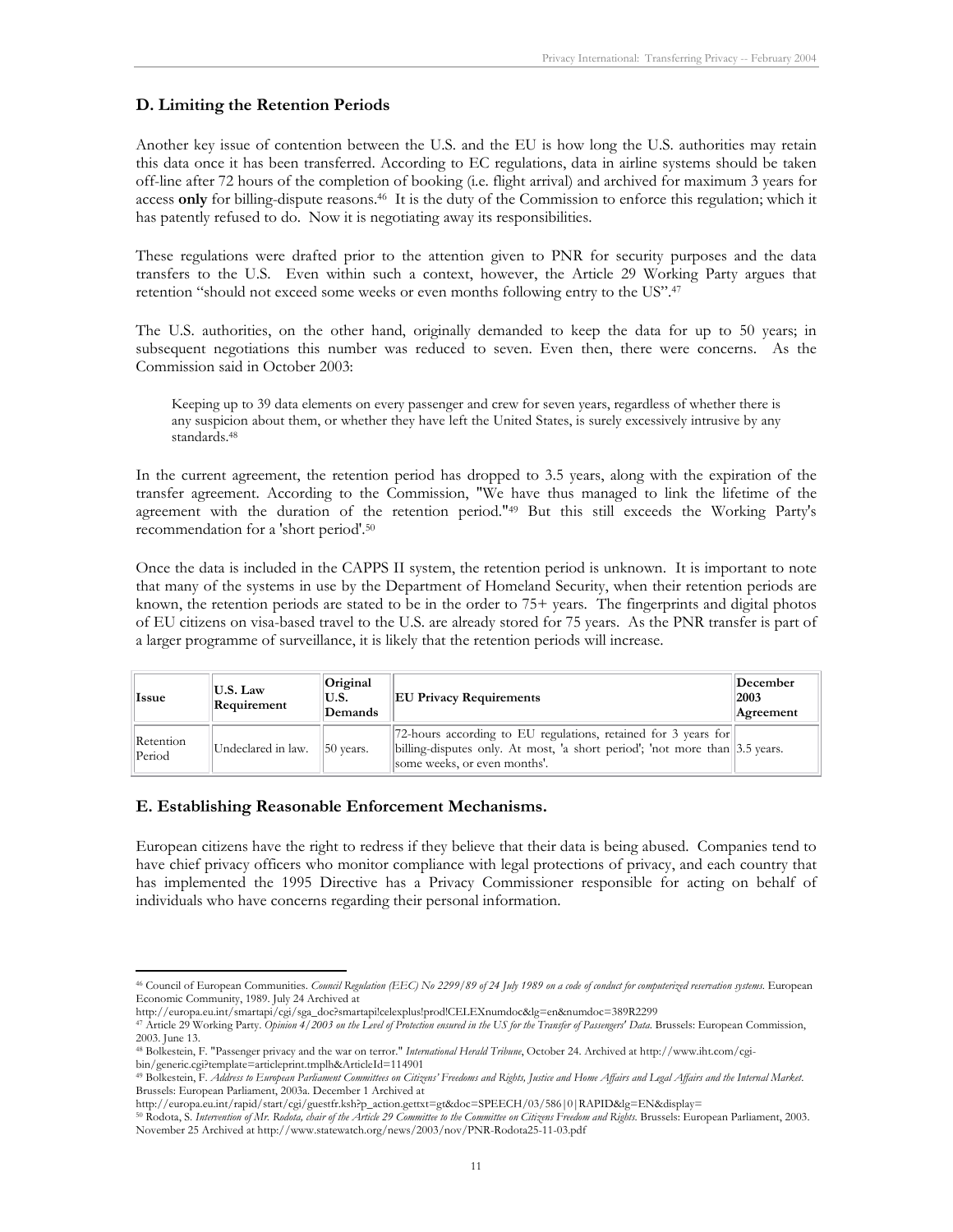#### **D. Limiting the Retention Periods**

Another key issue of contention between the U.S. and the EU is how long the U.S. authorities may retain this data once it has been transferred. According to EC regulations, data in airline systems should be taken off-line after 72 hours of the completion of booking (i.e. flight arrival) and archived for maximum 3 years for access **only** for billing-dispute reasons.46 It is the duty of the Commission to enforce this regulation; which it has patently refused to do. Now it is negotiating away its responsibilities.

These regulations were drafted prior to the attention given to PNR for security purposes and the data transfers to the U.S. Even within such a context, however, the Article 29 Working Party argues that retention "should not exceed some weeks or even months following entry to the US".47

The U.S. authorities, on the other hand, originally demanded to keep the data for up to 50 years; in subsequent negotiations this number was reduced to seven. Even then, there were concerns. As the Commission said in October 2003:

Keeping up to 39 data elements on every passenger and crew for seven years, regardless of whether there is any suspicion about them, or whether they have left the United States, is surely excessively intrusive by any standards.48

In the current agreement, the retention period has dropped to 3.5 years, along with the expiration of the transfer agreement. According to the Commission, "We have thus managed to link the lifetime of the agreement with the duration of the retention period."49 But this still exceeds the Working Party's recommendation for a 'short period'.50

Once the data is included in the CAPPS II system, the retention period is unknown. It is important to note that many of the systems in use by the Department of Homeland Security, when their retention periods are known, the retention periods are stated to be in the order to 75+ years. The fingerprints and digital photos of EU citizens on visa-based travel to the U.S. are already stored for 75 years. As the PNR transfer is part of a larger programme of surveillance, it is likely that the retention periods will increase.

| Issue               | U.S. Law<br>Requirement | Original<br>U.S.<br>Demands | <b>EU Privacy Requirements</b>                                                                                                                                                            | December<br>2003<br>Agreement |
|---------------------|-------------------------|-----------------------------|-------------------------------------------------------------------------------------------------------------------------------------------------------------------------------------------|-------------------------------|
| Retention<br>Period | Undeclared in law.      | $ 50 \rangle$ vears.        | [72-hours according to EU regulations, retained for 3 years for<br>billing-disputes only. At most, 'a short period'; 'not more than $ 3.5 \text{ years.}$<br>some weeks, or even months'. |                               |

#### **E. Establishing Reasonable Enforcement Mechanisms.**

-

European citizens have the right to redress if they believe that their data is being abused. Companies tend to have chief privacy officers who monitor compliance with legal protections of privacy, and each country that has implemented the 1995 Directive has a Privacy Commissioner responsible for acting on behalf of individuals who have concerns regarding their personal information.

<sup>46</sup> Council of European Communities. *Council Regulation (EEC) No 2299/89 of 24 July 1989 on a code of conduct for computerized reservation systems*. European Economic Community, 1989. July 24 Archived at

<sup>47</sup> Article 29 Working Party. Opinion 4/2003 on the Level of Protection ensured in the US for the Transfer of Passengers' Data. Brussels: European Commission, 2003. June 13.

<sup>48</sup> Bolkestein, F. "Passenger privacy and the war on terror." *International Herald Tribune*, October 24. Archived at http://www.iht.com/cgi-

<sup>&</sup>lt;sup>49</sup> Bolkestein, F. Address to European Parliament Committees on Citizens' Freedoms and Rights, Justice and Home Affairs and Legal Affairs and the Internal Market. Brussels: European Parliament, 2003a. December 1 Archived at

<sup>50</sup> Rodota, S. Intervention of Mr. Rodota, chair of the Article 29 Committee to the Committee on Citizens Freedom and Rights. Brussels: European Parliament, 2003. November 25 Archived at http://www.statewatch.org/news/2003/nov/PNR-Rodota25-11-03.pdf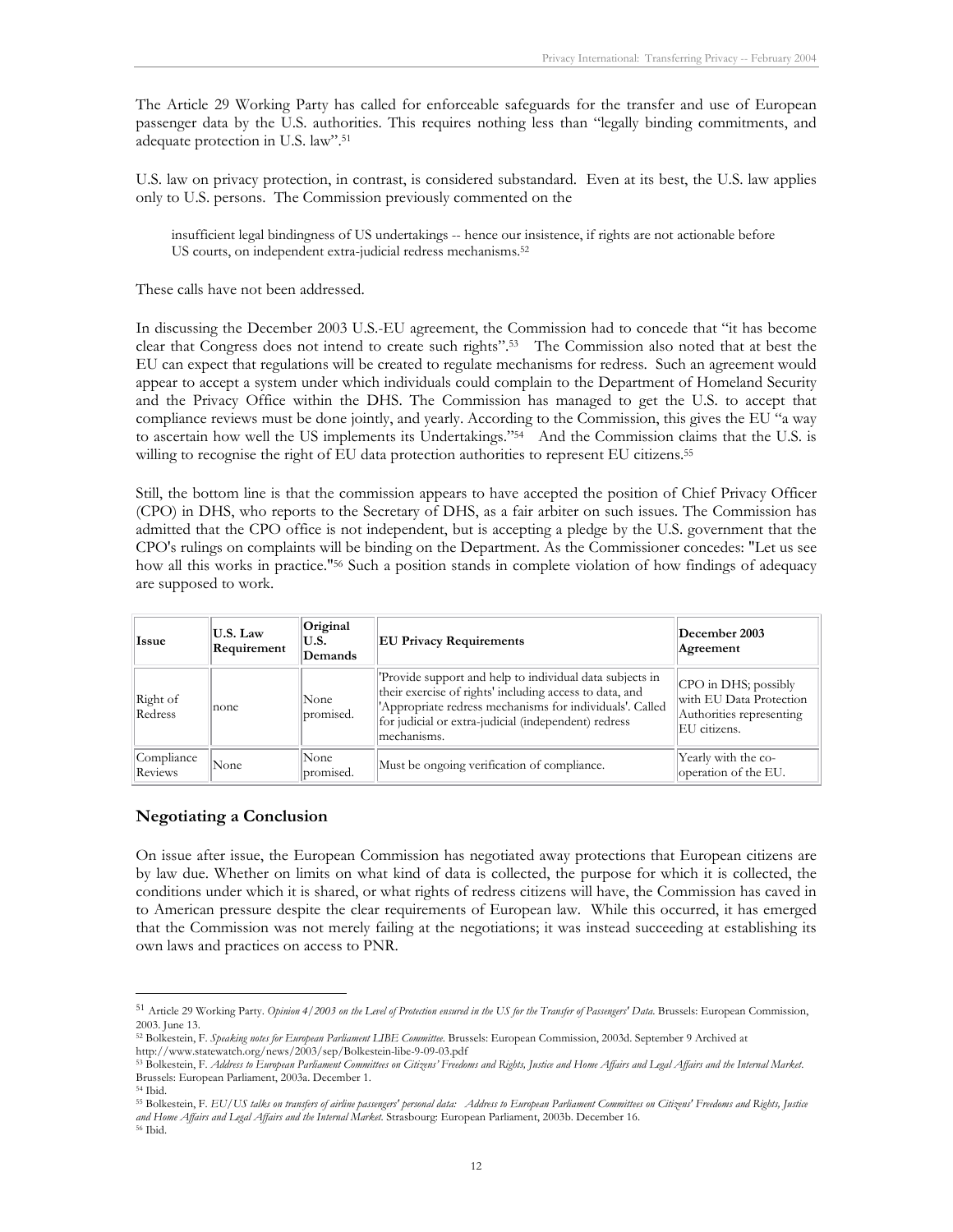The Article 29 Working Party has called for enforceable safeguards for the transfer and use of European passenger data by the U.S. authorities. This requires nothing less than "legally binding commitments, and adequate protection in U.S. law".51

U.S. law on privacy protection, in contrast, is considered substandard. Even at its best, the U.S. law applies only to U.S. persons. The Commission previously commented on the

insufficient legal bindingness of US undertakings -- hence our insistence, if rights are not actionable before US courts, on independent extra-judicial redress mechanisms.<sup>52</sup>

These calls have not been addressed.

In discussing the December 2003 U.S.-EU agreement, the Commission had to concede that "it has become clear that Congress does not intend to create such rights".53 The Commission also noted that at best the EU can expect that regulations will be created to regulate mechanisms for redress. Such an agreement would appear to accept a system under which individuals could complain to the Department of Homeland Security and the Privacy Office within the DHS. The Commission has managed to get the U.S. to accept that compliance reviews must be done jointly, and yearly. According to the Commission, this gives the EU "a way to ascertain how well the US implements its Undertakings."<sup>54</sup> And the Commission claims that the U.S. is willing to recognise the right of EU data protection authorities to represent EU citizens.<sup>55</sup>

Still, the bottom line is that the commission appears to have accepted the position of Chief Privacy Officer (CPO) in DHS, who reports to the Secretary of DHS, as a fair arbiter on such issues. The Commission has admitted that the CPO office is not independent, but is accepting a pledge by the U.S. government that the CPO's rulings on complaints will be binding on the Department. As the Commissioner concedes: "Let us see how all this works in practice."56 Such a position stands in complete violation of how findings of adequacy are supposed to work.

| Issue                 | U.S. Law<br>Requirement | Original<br>IU.S.<br>Demands | <b>EU Privacy Requirements</b>                                                                                                                                                                                                                         | December 2003<br>Agreement                                                                     |
|-----------------------|-------------------------|------------------------------|--------------------------------------------------------------------------------------------------------------------------------------------------------------------------------------------------------------------------------------------------------|------------------------------------------------------------------------------------------------|
| Right of<br>Redress   | none                    | None<br>promised.            | 'Provide support and help to individual data subjects in<br>their exercise of rights' including access to data, and<br>'Appropriate redress mechanisms for individuals'. Called<br>for judicial or extra-judicial (independent) redress<br>mechanisms. | $ CPO$ in DHS; possibly<br>with EU Data Protection<br>Authorities representing<br>EU citizens. |
| Compliance<br>Reviews | None                    | None<br>promised.            | Must be ongoing verification of compliance.                                                                                                                                                                                                            | Yearly with the co-<br>operation of the EU.                                                    |

#### **Negotiating a Conclusion**

On issue after issue, the European Commission has negotiated away protections that European citizens are by law due. Whether on limits on what kind of data is collected, the purpose for which it is collected, the conditions under which it is shared, or what rights of redress citizens will have, the Commission has caved in to American pressure despite the clear requirements of European law. While this occurred, it has emerged that the Commission was not merely failing at the negotiations; it was instead succeeding at establishing its own laws and practices on access to PNR.

<sup>51</sup> Article 29 Working Party. *Opinion 4/2003 on the Level of Protection ensured in the US for the Transfer of Passengers' Data*. Brussels: European Commission, 2003. June 13.

<sup>52</sup> Bolkestein, F. *Speaking notes for European Parliament LIBE Committee*. Brussels: European Commission, 2003d. September 9 Archived at http://www.statewatch.org/news/2003/sep/Bolkestein-libe-9-09-03.pdf

<sup>53</sup> Bolkestein, F. *Address to European Parliament Committees on Citizens' Freedoms and Rights, Justice and Home Affairs and Legal Affairs and the Internal Market*. Brussels: European Parliament, 2003a. December 1.

<sup>54</sup> Ibid.

<sup>55</sup> Bolkestein, F. *EU/US talks on transfers of airline passengers' personal data: Address to European Parliament Committees on Citizens' Freedoms and Rights, Justice and Home Affairs and Legal Affairs and the Internal Market*. Strasbourg: European Parliament, 2003b. December 16. 56 Ibid.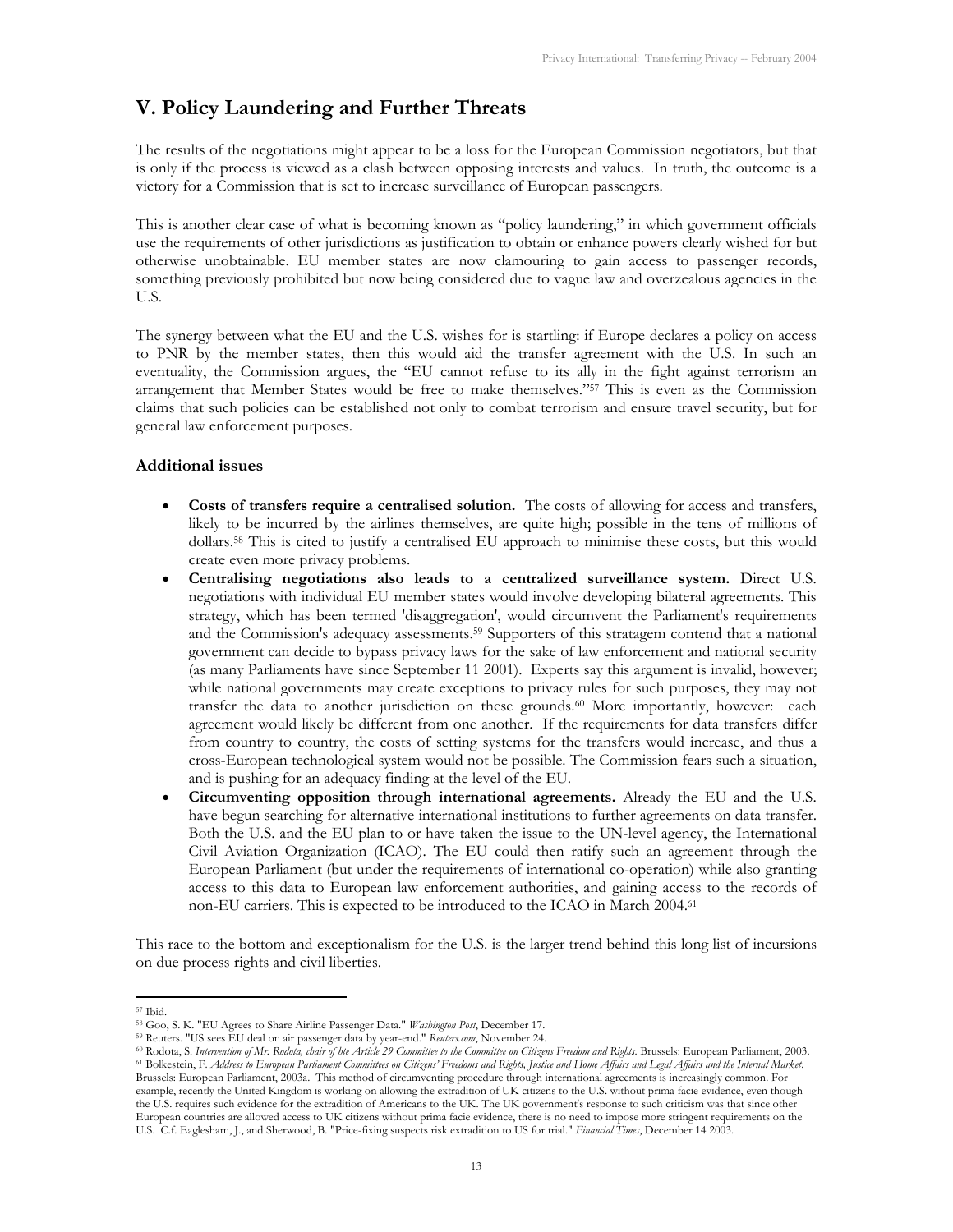## **V. Policy Laundering and Further Threats**

The results of the negotiations might appear to be a loss for the European Commission negotiators, but that is only if the process is viewed as a clash between opposing interests and values. In truth, the outcome is a victory for a Commission that is set to increase surveillance of European passengers.

This is another clear case of what is becoming known as "policy laundering," in which government officials use the requirements of other jurisdictions as justification to obtain or enhance powers clearly wished for but otherwise unobtainable. EU member states are now clamouring to gain access to passenger records, something previously prohibited but now being considered due to vague law and overzealous agencies in the U.S.

The synergy between what the EU and the U.S. wishes for is startling: if Europe declares a policy on access to PNR by the member states, then this would aid the transfer agreement with the U.S. In such an eventuality, the Commission argues, the "EU cannot refuse to its ally in the fight against terrorism an arrangement that Member States would be free to make themselves."<sup>57</sup> This is even as the Commission claims that such policies can be established not only to combat terrorism and ensure travel security, but for general law enforcement purposes.

#### **Additional issues**

- **Costs of transfers require a centralised solution.** The costs of allowing for access and transfers, likely to be incurred by the airlines themselves, are quite high; possible in the tens of millions of dollars.58 This is cited to justify a centralised EU approach to minimise these costs, but this would create even more privacy problems.
- **Centralising negotiations also leads to a centralized surveillance system.** Direct U.S. negotiations with individual EU member states would involve developing bilateral agreements. This strategy, which has been termed 'disaggregation', would circumvent the Parliament's requirements and the Commission's adequacy assessments.59 Supporters of this stratagem contend that a national government can decide to bypass privacy laws for the sake of law enforcement and national security (as many Parliaments have since September 11 2001). Experts say this argument is invalid, however; while national governments may create exceptions to privacy rules for such purposes, they may not transfer the data to another jurisdiction on these grounds.60 More importantly, however: each agreement would likely be different from one another. If the requirements for data transfers differ from country to country, the costs of setting systems for the transfers would increase, and thus a cross-European technological system would not be possible. The Commission fears such a situation, and is pushing for an adequacy finding at the level of the EU.
- **Circumventing opposition through international agreements.** Already the EU and the U.S. have begun searching for alternative international institutions to further agreements on data transfer. Both the U.S. and the EU plan to or have taken the issue to the UN-level agency, the International Civil Aviation Organization (ICAO). The EU could then ratify such an agreement through the European Parliament (but under the requirements of international co-operation) while also granting access to this data to European law enforcement authorities, and gaining access to the records of non-EU carriers. This is expected to be introduced to the ICAO in March 2004.61

This race to the bottom and exceptionalism for the U.S. is the larger trend behind this long list of incursions on due process rights and civil liberties.

<sup>-</sup>

<sup>&</sup>lt;sup>57</sup> Ibid.<br><sup>58</sup> Goo, S. K. "EU Agrees to Share Airline Passenger Data." Washington Post, December 17.

<sup>&</sup>lt;sup>59</sup> Reuters. "US sees EU deal on air passenger data by year-end." Reuters.com, November 24.<br><sup>60</sup> Rodota, S. Intervention of Mr. Rodota, chair of hte Article 29 Committee to the Committee on Citizens Freedom and Rights. Br Brussels: European Parliament, 2003a. This method of circumventing procedure through international agreements is increasingly common. For example, recently the United Kingdom is working on allowing the extradition of UK citizens to the U.S. without prima facie evidence, even though the U.S. requires such evidence for the extradition of Americans to the UK. The UK government's response to such criticism was that since other European countries are allowed access to UK citizens without prima facie evidence, there is no need to impose more stringent requirements on the U.S. C.f. Eaglesham, J., and Sherwood, B. "Price-fixing suspects risk extradition to US for trial." *Financial Times*, December 14 2003.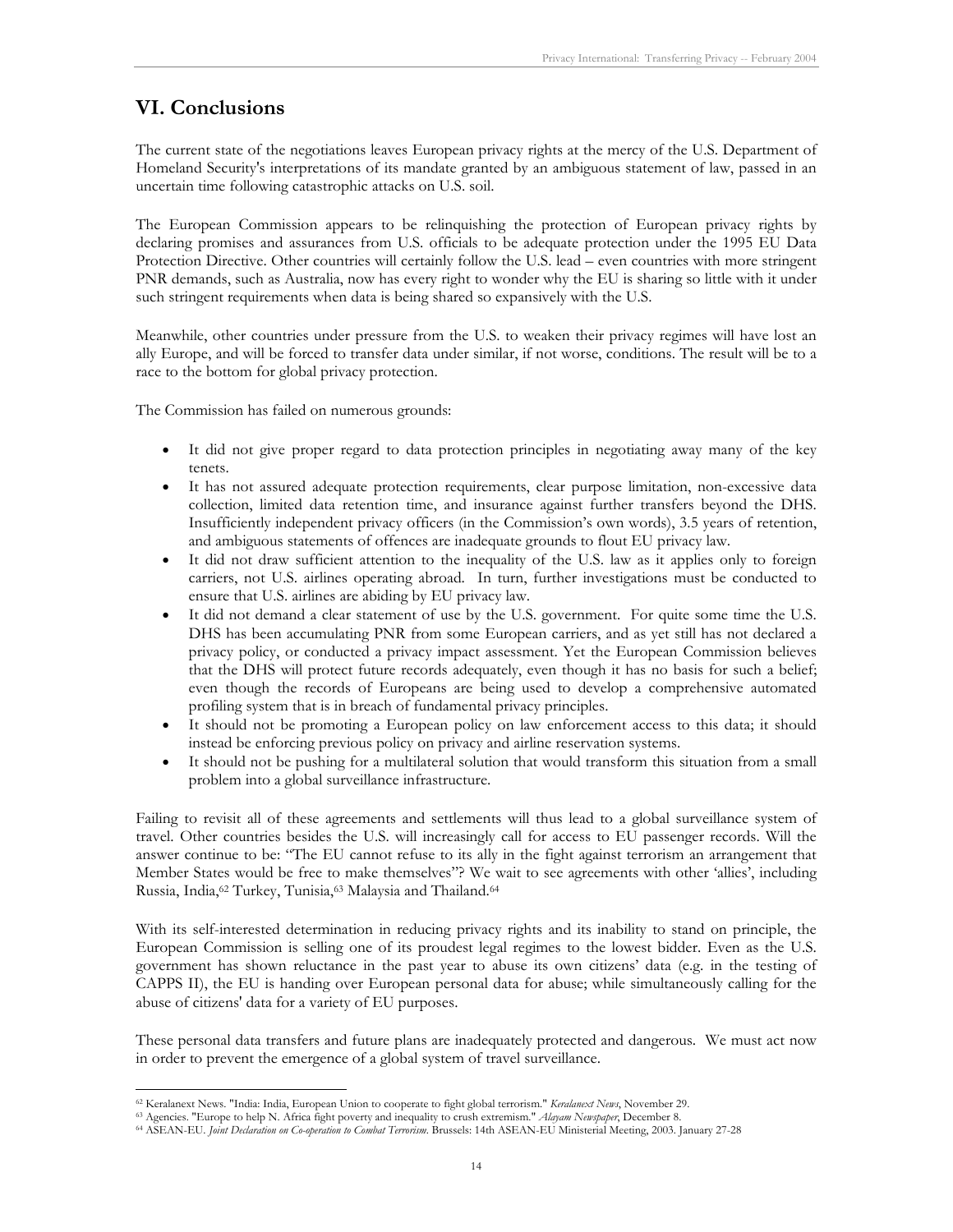### **VI. Conclusions**

The current state of the negotiations leaves European privacy rights at the mercy of the U.S. Department of Homeland Security's interpretations of its mandate granted by an ambiguous statement of law, passed in an uncertain time following catastrophic attacks on U.S. soil.

The European Commission appears to be relinquishing the protection of European privacy rights by declaring promises and assurances from U.S. officials to be adequate protection under the 1995 EU Data Protection Directive. Other countries will certainly follow the U.S. lead – even countries with more stringent PNR demands, such as Australia, now has every right to wonder why the EU is sharing so little with it under such stringent requirements when data is being shared so expansively with the U.S.

Meanwhile, other countries under pressure from the U.S. to weaken their privacy regimes will have lost an ally Europe, and will be forced to transfer data under similar, if not worse, conditions. The result will be to a race to the bottom for global privacy protection.

The Commission has failed on numerous grounds:

- It did not give proper regard to data protection principles in negotiating away many of the key tenets.
- It has not assured adequate protection requirements, clear purpose limitation, non-excessive data collection, limited data retention time, and insurance against further transfers beyond the DHS. Insufficiently independent privacy officers (in the Commission's own words), 3.5 years of retention, and ambiguous statements of offences are inadequate grounds to flout EU privacy law.
- It did not draw sufficient attention to the inequality of the U.S. law as it applies only to foreign carriers, not U.S. airlines operating abroad. In turn, further investigations must be conducted to ensure that U.S. airlines are abiding by EU privacy law.
- It did not demand a clear statement of use by the U.S. government. For quite some time the U.S. DHS has been accumulating PNR from some European carriers, and as yet still has not declared a privacy policy, or conducted a privacy impact assessment. Yet the European Commission believes that the DHS will protect future records adequately, even though it has no basis for such a belief; even though the records of Europeans are being used to develop a comprehensive automated profiling system that is in breach of fundamental privacy principles.
- It should not be promoting a European policy on law enforcement access to this data; it should instead be enforcing previous policy on privacy and airline reservation systems.
- It should not be pushing for a multilateral solution that would transform this situation from a small problem into a global surveillance infrastructure.

Failing to revisit all of these agreements and settlements will thus lead to a global surveillance system of travel. Other countries besides the U.S. will increasingly call for access to EU passenger records. Will the answer continue to be: "The EU cannot refuse to its ally in the fight against terrorism an arrangement that Member States would be free to make themselves"? We wait to see agreements with other 'allies', including Russia, India,<sup>62</sup> Turkey, Tunisia,<sup>63</sup> Malaysia and Thailand.<sup>64</sup>

With its self-interested determination in reducing privacy rights and its inability to stand on principle, the European Commission is selling one of its proudest legal regimes to the lowest bidder. Even as the U.S. government has shown reluctance in the past year to abuse its own citizens' data (e.g. in the testing of CAPPS II), the EU is handing over European personal data for abuse; while simultaneously calling for the abuse of citizens' data for a variety of EU purposes.

These personal data transfers and future plans are inadequately protected and dangerous. We must act now in order to prevent the emergence of a global system of travel surveillance.

<sup>-</sup>

<sup>&</sup>lt;sup>62</sup> Keralanext News. "India: India, European Union to cooperate to fight global terrorism." *Keralanext News*, November 29.<br><sup>63</sup> Agencies. "Europe to help N. Africa fight poverty and inequality to crush extremism." *Alaya*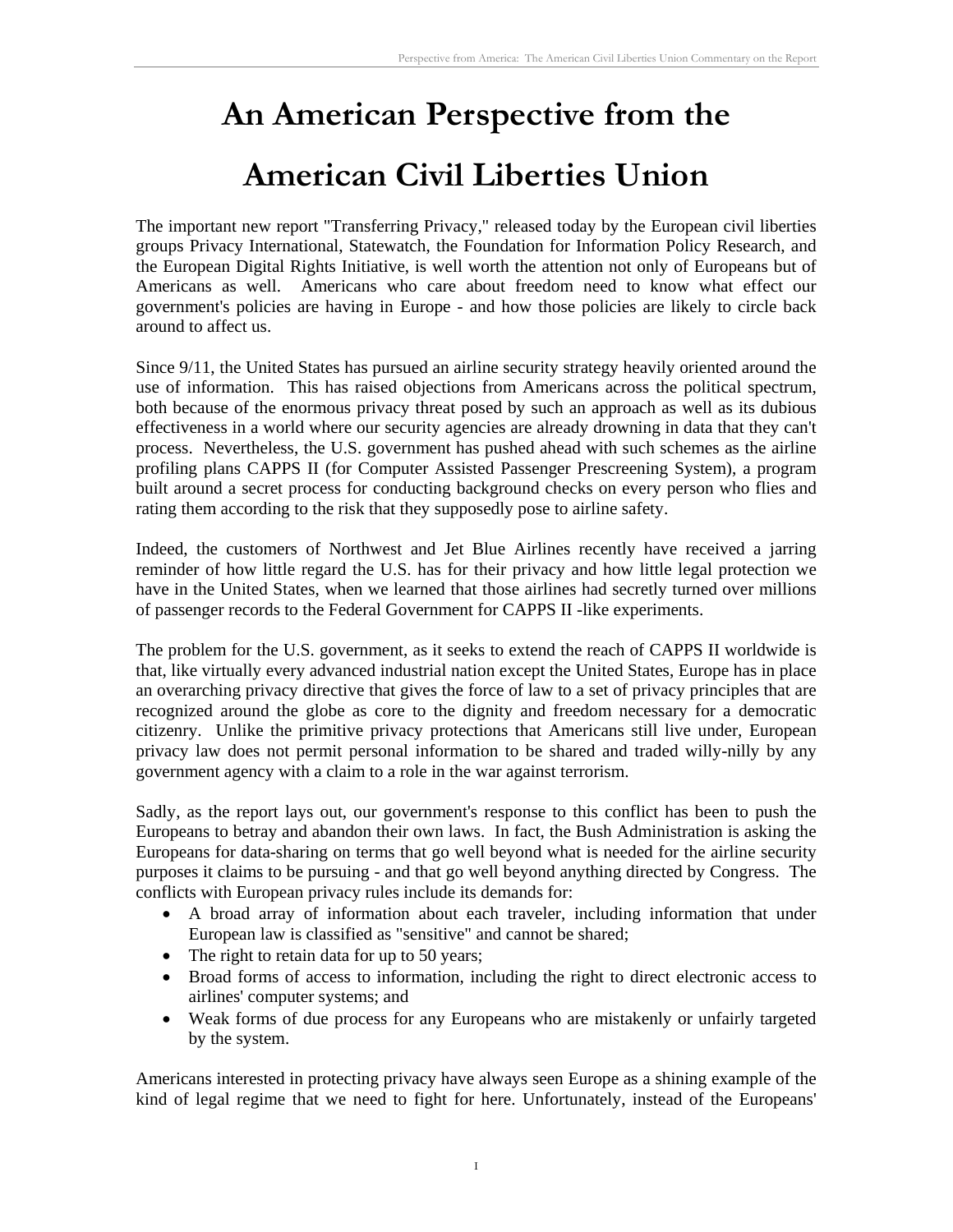# **An American Perspective from the**

# **American Civil Liberties Union**

The important new report "Transferring Privacy," released today by the European civil liberties groups Privacy International, Statewatch, the Foundation for Information Policy Research, and the European Digital Rights Initiative, is well worth the attention not only of Europeans but of Americans as well. Americans who care about freedom need to know what effect our government's policies are having in Europe - and how those policies are likely to circle back around to affect us.

Since 9/11, the United States has pursued an airline security strategy heavily oriented around the use of information. This has raised objections from Americans across the political spectrum, both because of the enormous privacy threat posed by such an approach as well as its dubious effectiveness in a world where our security agencies are already drowning in data that they can't process. Nevertheless, the U.S. government has pushed ahead with such schemes as the airline profiling plans CAPPS II (for Computer Assisted Passenger Prescreening System), a program built around a secret process for conducting background checks on every person who flies and rating them according to the risk that they supposedly pose to airline safety.

Indeed, the customers of Northwest and Jet Blue Airlines recently have received a jarring reminder of how little regard the U.S. has for their privacy and how little legal protection we have in the United States, when we learned that those airlines had secretly turned over millions of passenger records to the Federal Government for CAPPS II -like experiments.

The problem for the U.S. government, as it seeks to extend the reach of CAPPS II worldwide is that, like virtually every advanced industrial nation except the United States, Europe has in place an overarching privacy directive that gives the force of law to a set of privacy principles that are recognized around the globe as core to the dignity and freedom necessary for a democratic citizenry. Unlike the primitive privacy protections that Americans still live under, European privacy law does not permit personal information to be shared and traded willy-nilly by any government agency with a claim to a role in the war against terrorism.

Sadly, as the report lays out, our government's response to this conflict has been to push the Europeans to betray and abandon their own laws. In fact, the Bush Administration is asking the Europeans for data-sharing on terms that go well beyond what is needed for the airline security purposes it claims to be pursuing - and that go well beyond anything directed by Congress. The conflicts with European privacy rules include its demands for:

- A broad array of information about each traveler, including information that under European law is classified as "sensitive" and cannot be shared;
- The right to retain data for up to 50 years;
- Broad forms of access to information, including the right to direct electronic access to airlines' computer systems; and
- Weak forms of due process for any Europeans who are mistakenly or unfairly targeted by the system.

Americans interested in protecting privacy have always seen Europe as a shining example of the kind of legal regime that we need to fight for here. Unfortunately, instead of the Europeans'